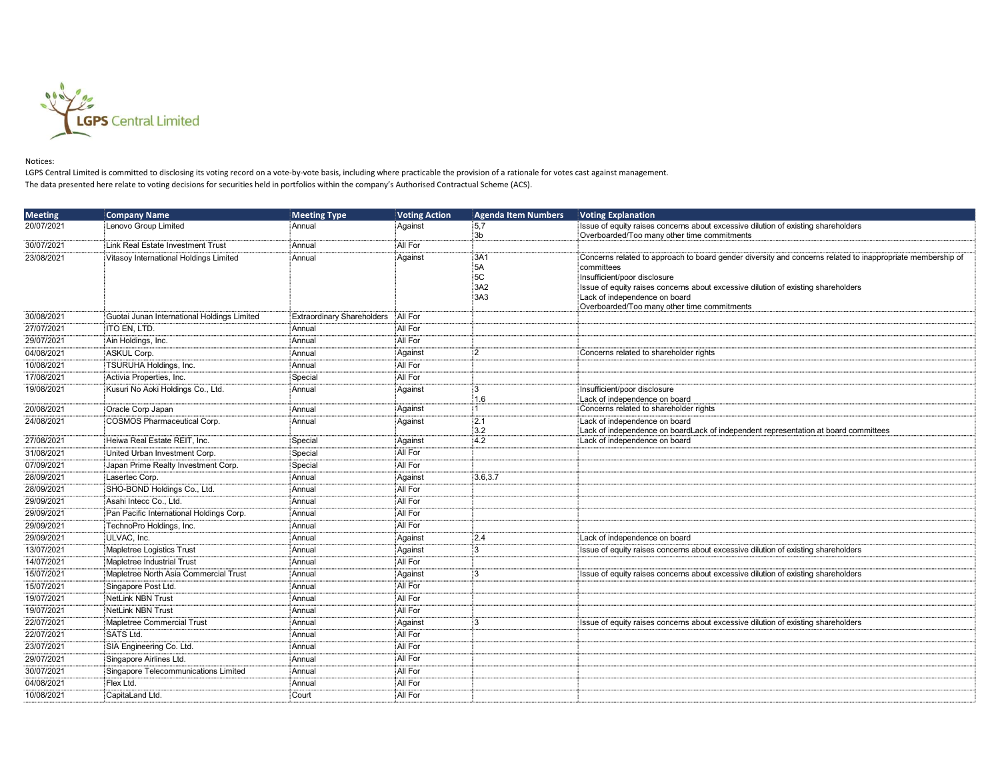

## Notices:

LGPS Central Limited is committed to disclosing its voting record on a vote-by-vote basis, including where practicable the provision of a rationale for votes cast against management. The data presented here relate to voting decisions for securities held in portfolios within the company's Authorised Contractual Scheme (ACS).

| <b>Meeting</b> | <b>Company Name</b>                         | <b>Meeting Type</b>               | <b>Voting Action</b> | <b>Agenda Item Numbers</b> | <b>Voting Explanation</b>                                                                                                |
|----------------|---------------------------------------------|-----------------------------------|----------------------|----------------------------|--------------------------------------------------------------------------------------------------------------------------|
| 20/07/2021     | Lenovo Group Limited                        | Annual                            | Against              | 5,7                        | Issue of equity raises concerns about excessive dilution of existing shareholders                                        |
|                |                                             |                                   |                      | :3b                        | Overboarded/Too many other time commitments                                                                              |
| 30/07/2021     | Link Real Estate Investment Trust           | Annual                            | All For              |                            |                                                                                                                          |
| 23/08/2021     | Vitasoy International Holdings Limited      | Annual                            | Against              | :3A1<br>:5A                | Concerns related to approach to board gender diversity and concerns related to inappropriate membership of<br>committees |
|                |                                             |                                   |                      | 5C                         | Insufficient/poor disclosure                                                                                             |
|                |                                             |                                   |                      | 3A2                        | Issue of equity raises concerns about excessive dilution of existing shareholders                                        |
|                |                                             |                                   |                      | 3A3                        | Lack of independence on board                                                                                            |
|                |                                             |                                   |                      |                            | Overboarded/Too many other time commitments                                                                              |
| 30/08/2021     | Guotai Junan International Holdings Limited | <b>Extraordinary Shareholders</b> | All For              |                            |                                                                                                                          |
| 27/07/2021     | ITO EN, LTD.                                | Annual                            | All For              |                            |                                                                                                                          |
| 29/07/2021     | Ain Holdings, Inc.                          | Annual                            | All For              |                            |                                                                                                                          |
| 04/08/2021     | <b>ASKUL Corp.</b>                          | Annual                            | Against              | :2                         | Concerns related to shareholder rights                                                                                   |
| 10/08/2021     | TSURUHA Holdings, Inc.                      | Annual                            | All For              |                            |                                                                                                                          |
| 17/08/2021     | Activia Properties, Inc.                    | Special                           | All For              |                            |                                                                                                                          |
| 19/08/2021     | Kusuri No Aoki Holdings Co., Ltd.           | Annual                            | Against              | :3                         | Insufficient/poor disclosure                                                                                             |
|                |                                             |                                   |                      | 1.6                        | Lack of independence on board                                                                                            |
| 20/08/2021     | Oracle Corp Japan                           | Annual                            | Against              | ∃1.                        | Concerns related to shareholder rights                                                                                   |
| 24/08/2021     | <b>COSMOS Pharmaceutical Corp.</b>          | Annual                            | Against              | :2.1<br>$\frac{1}{3}$ .2   | Lack of independence on board<br>Lack of independence on boardLack of independent representation at board committees     |
| 27/08/2021     | Heiwa Real Estate REIT, Inc.                | Special                           | Against              | 4.2                        | Lack of independence on board                                                                                            |
| 31/08/2021     | United Urban Investment Corp.               | Special                           | All For              |                            |                                                                                                                          |
| 07/09/2021     | Japan Prime Realty Investment Corp.         | Special                           | All For              |                            |                                                                                                                          |
| 28/09/2021     | Lasertec Corp.                              | Annual                            | Against              | 3.6, 3.7                   |                                                                                                                          |
| 28/09/2021     | SHO-BOND Holdings Co., Ltd.                 | Annual                            | All For              |                            |                                                                                                                          |
| 29/09/2021     | Asahi Intecc Co., Ltd.                      | Annual                            | All For              |                            |                                                                                                                          |
| 29/09/2021     | Pan Pacific International Holdings Corp.    | Annual                            | All For              |                            |                                                                                                                          |
| 29/09/2021     | TechnoPro Holdings, Inc.                    | Annual                            | All For              |                            |                                                                                                                          |
| 29/09/2021     | ULVAC, Inc.                                 | Annual                            |                      | :2.4                       | Lack of independence on board                                                                                            |
|                | Mapletree Logistics Trust                   |                                   | Against              | İЗ                         |                                                                                                                          |
| 13/07/2021     |                                             | Annual                            | Against<br>All For   |                            | Issue of equity raises concerns about excessive dilution of existing shareholders                                        |
| 14/07/2021     | Mapletree Industrial Trust                  | Annual                            |                      |                            |                                                                                                                          |
| 15/07/2021     | Mapletree North Asia Commercial Trust       | Annual                            | Against              | :3                         | Issue of equity raises concerns about excessive dilution of existing shareholders                                        |
| 15/07/2021     | Singapore Post Ltd.                         | Annual                            | All For              |                            |                                                                                                                          |
| 19/07/2021     | <b>NetLink NBN Trust</b>                    | Annual                            | All For              |                            |                                                                                                                          |
| 19/07/2021     | <b>NetLink NBN Trust</b>                    | Annual                            | All For              |                            |                                                                                                                          |
| 22/07/2021     | Mapletree Commercial Trust                  | Annual                            | Against              | İЗ                         | Issue of equity raises concerns about excessive dilution of existing shareholders                                        |
| 22/07/2021     | SATS Ltd.                                   | Annual                            | All For              |                            |                                                                                                                          |
| 23/07/2021     | SIA Engineering Co. Ltd.                    | Annual                            | All For              |                            |                                                                                                                          |
| 29/07/2021     | Singapore Airlines Ltd.                     | Annual                            | All For              |                            |                                                                                                                          |
| 30/07/2021     | Singapore Telecommunications Limited        | Annual                            | All For              |                            |                                                                                                                          |
| 04/08/2021     | Flex Ltd.                                   | Annual                            | All For              |                            |                                                                                                                          |
| 10/08/2021     | CapitaLand Ltd.                             | Court                             | All For              |                            |                                                                                                                          |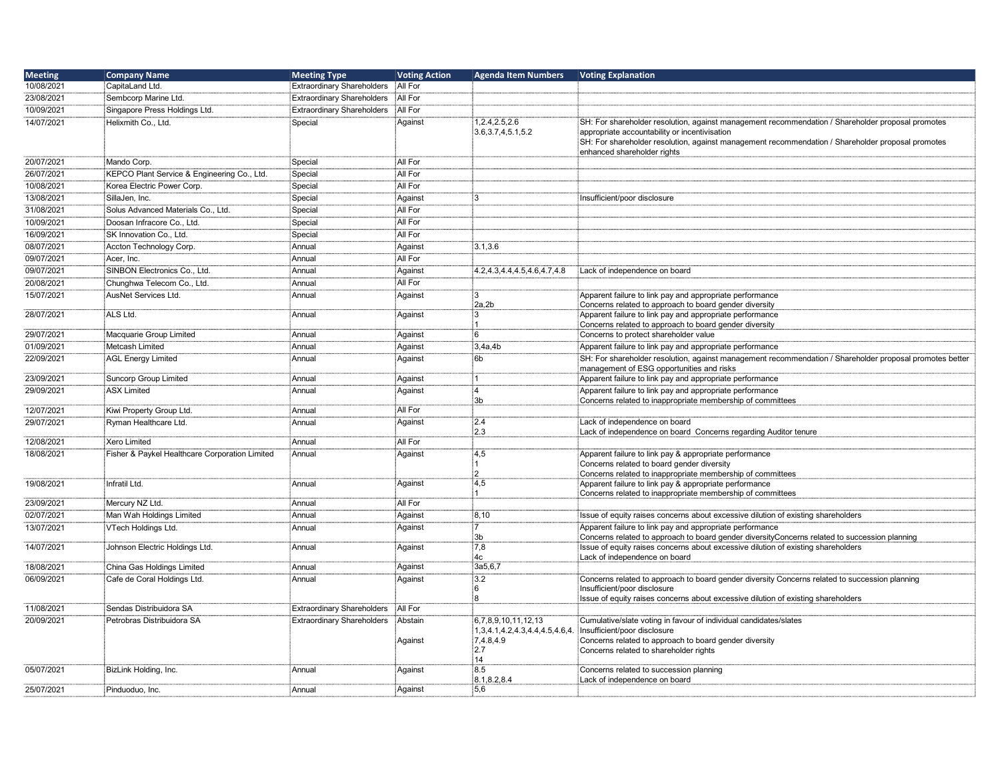| <b>Meeting</b> | <b>Company Name</b>                            | <b>Meeting Type</b>               | <b>Voting Action</b> | <b>Agenda Item Numbers</b>                               | <b>Voting Explanation</b>                                                                                                                                                                                                                                                              |
|----------------|------------------------------------------------|-----------------------------------|----------------------|----------------------------------------------------------|----------------------------------------------------------------------------------------------------------------------------------------------------------------------------------------------------------------------------------------------------------------------------------------|
| 10/08/2021     | CapitaLand Ltd.                                | <b>Extraordinary Shareholders</b> | All For              |                                                          |                                                                                                                                                                                                                                                                                        |
| 23/08/2021     | Sembcorp Marine Ltd.                           | <b>Extraordinary Shareholders</b> | All For              |                                                          |                                                                                                                                                                                                                                                                                        |
| 10/09/2021     | Singapore Press Holdings Ltd.                  | <b>Extraordinary Shareholders</b> | All For              |                                                          |                                                                                                                                                                                                                                                                                        |
| 14/07/2021     | Helixmith Co., Ltd.                            | Special                           | Against              | 1,2.4,2.5,2.6<br>3.6, 3.7, 4, 5.1, 5.2                   | SH: For shareholder resolution, against management recommendation / Shareholder proposal promotes<br>appropriate accountability or incentivisation<br>SH: For shareholder resolution, against management recommendation / Shareholder proposal promotes<br>enhanced shareholder rights |
| 20/07/2021     | Mando Corp.                                    | Special                           | All For              |                                                          |                                                                                                                                                                                                                                                                                        |
| 26/07/2021     | KEPCO Plant Service & Engineering Co., Ltd.    | Special                           | All For              |                                                          |                                                                                                                                                                                                                                                                                        |
| 10/08/2021     | Korea Electric Power Corp.                     | Special                           | All For              |                                                          |                                                                                                                                                                                                                                                                                        |
| 13/08/2021     | <sup>∶</sup> SillaJen. Inc.                    | Special                           | Against              | 3                                                        | Insufficient/poor disclosure                                                                                                                                                                                                                                                           |
| 31/08/2021     | Solus Advanced Materials Co Ltd.               | Special                           | All For              |                                                          |                                                                                                                                                                                                                                                                                        |
| 10/09/2021     | Doosan Infracore Co., Ltd.                     | Special                           | All For              |                                                          |                                                                                                                                                                                                                                                                                        |
|                |                                                |                                   | All For              |                                                          |                                                                                                                                                                                                                                                                                        |
| 16/09/2021     | SK Innovation Co., Ltd.                        | Special                           |                      |                                                          |                                                                                                                                                                                                                                                                                        |
| 08/07/2021     | Accton Technology Corp.                        | Annual                            | Against              | 3.1,3.6                                                  |                                                                                                                                                                                                                                                                                        |
| 09/07/2021     | Acer, Inc.                                     | : Annual                          | All For              |                                                          |                                                                                                                                                                                                                                                                                        |
| 09/07/2021     | SINBON Electronics Co., Ltd.                   | Annual                            | Against              | 4.2, 4.3, 4.4, 4.5, 4.6, 4.7, 4.8                        | Lack of independence on board                                                                                                                                                                                                                                                          |
| 20/08/2021     | Chunghwa Telecom Co., Ltd.                     | Annual                            | All For              |                                                          |                                                                                                                                                                                                                                                                                        |
| 15/07/2021     | AusNet Services Ltd.                           | Annual                            | Against              | $\ddot{\text{3}}$<br>2a,2b                               | Apparent failure to link pay and appropriate performance<br>Concerns related to approach to board gender diversity                                                                                                                                                                     |
| 28/07/2021     | ALS Ltd.                                       | :<br>Annual                       | Against              | 3                                                        | Apparent failure to link pay and appropriate performance<br>Concerns related to approach to board gender diversity                                                                                                                                                                     |
| 29/07/2021     | Macquarie Group Limited                        | : Annual                          | Against              | 6                                                        | Concerns to protect shareholder value                                                                                                                                                                                                                                                  |
| 01/09/2021     | Metcash Limited                                | Annual                            | Against              | 3,4a,4b                                                  | Apparent failure to link pay and appropriate performance                                                                                                                                                                                                                               |
| 22/09/2021     | AGL Energy Limited                             | Annual                            | Against              | 6b                                                       | SH: For shareholder resolution, against management recommendation / Shareholder proposal promotes better<br>management of ESG opportunities and risks                                                                                                                                  |
| 23/09/2021     | Suncorp Group Limited                          | Annual                            | Against              | $\overline{1}$                                           | Apparent failure to link pay and appropriate performance                                                                                                                                                                                                                               |
| 29/09/2021     | ASX Limited                                    | Annual                            | Against              | $\overline{4}$<br>3b                                     | Apparent failure to link pay and appropriate performance<br>Concerns related to inappropriate membership of committees                                                                                                                                                                 |
| 12/07/2021     | Kiwi Property Group Ltd.                       | : Annual                          | All For              |                                                          |                                                                                                                                                                                                                                                                                        |
| 29/07/2021     | Ryman Healthcare Ltd.                          | Annual                            | Against              | 2.4<br>2.3                                               | Lack of independence on board<br>Lack of independence on board Concerns regarding Auditor tenure                                                                                                                                                                                       |
| 12/08/2021     | Xero Limited                                   | Annual                            | All For              |                                                          |                                                                                                                                                                                                                                                                                        |
| 18/08/2021     | Fisher & Paykel Healthcare Corporation Limited | Annual                            | Against              | 4,5<br>$\overline{2}$                                    | Apparent failure to link pay & appropriate performance<br>Concerns related to board gender diversity<br>Concerns related to inappropriate membership of committees                                                                                                                     |
| 19/08/2021     | Infratil Ltd.                                  | : Annual                          | Against              | 4,5                                                      | Apparent failure to link pay & appropriate performance                                                                                                                                                                                                                                 |
|                |                                                |                                   |                      |                                                          | Concerns related to inappropriate membership of committees                                                                                                                                                                                                                             |
| 23/09/2021     | Mercury NZ Ltd.                                | Annual                            | All For              |                                                          |                                                                                                                                                                                                                                                                                        |
| 02/07/2021     | Man Wah Holdings Limited                       | Annual                            | Against              | 8,10                                                     | Issue of equity raises concerns about excessive dilution of existing shareholders                                                                                                                                                                                                      |
| 13/07/2021     | VTech Holdings Ltd.                            | Annual                            | Against              | 3b                                                       | Apparent failure to link pay and appropriate performance<br>Concerns related to approach to board gender diversityConcerns related to succession planning                                                                                                                              |
| 14/07/2021     | Johnson Electric Holdings Ltd.                 | Annual                            | Against              | 7,8<br>4 <sub>c</sub>                                    | Issue of equity raises concerns about excessive dilution of existing shareholders<br>Lack of independence on board                                                                                                                                                                     |
| 18/08/2021     | China Gas Holdings Limited                     | Annual                            | Against              | 3a5,6,7                                                  |                                                                                                                                                                                                                                                                                        |
| 06/09/2021     | Cafe de Coral Holdings Ltd.                    | Annual                            | Against              | 3.2<br>6<br>$\mathbf{a}$                                 | Concerns related to approach to board gender diversity Concerns related to succession planning<br>Insufficient/poor disclosure<br>Issue of equity raises concerns about excessive dilution of existing shareholders                                                                    |
| 11/08/2021     | Sendas Distribuidora SA                        | <b>Extraordinary Shareholders</b> | All For              |                                                          |                                                                                                                                                                                                                                                                                        |
| 20/09/2021     | Petrobras Distribuidora SA                     | <b>Extraordinary Shareholders</b> | Abstain              | 6,7,8,9,10,11,12,13                                      | Cumulative/slate voting in favour of individual candidates/slates                                                                                                                                                                                                                      |
|                |                                                |                                   | Against              | 1,3,4.1,4.2,4.3,4.4,4.5,4.6,4.<br>7,4.8,4.9<br>2.7<br>14 | Insufficient/poor disclosure<br>Concerns related to approach to board gender diversity<br>Concerns related to shareholder rights                                                                                                                                                       |
| 05/07/2021     | BizLink Holding, Inc.                          | Annual                            | Against              | 8.5<br>8.1.8.2.8.4                                       | Concerns related to succession planning<br>Lack of independence on board                                                                                                                                                                                                               |
| 25/07/2021     | Pinduoduo, Inc.                                | : Annual                          | Against              | :5,6                                                     |                                                                                                                                                                                                                                                                                        |
|                |                                                |                                   |                      |                                                          |                                                                                                                                                                                                                                                                                        |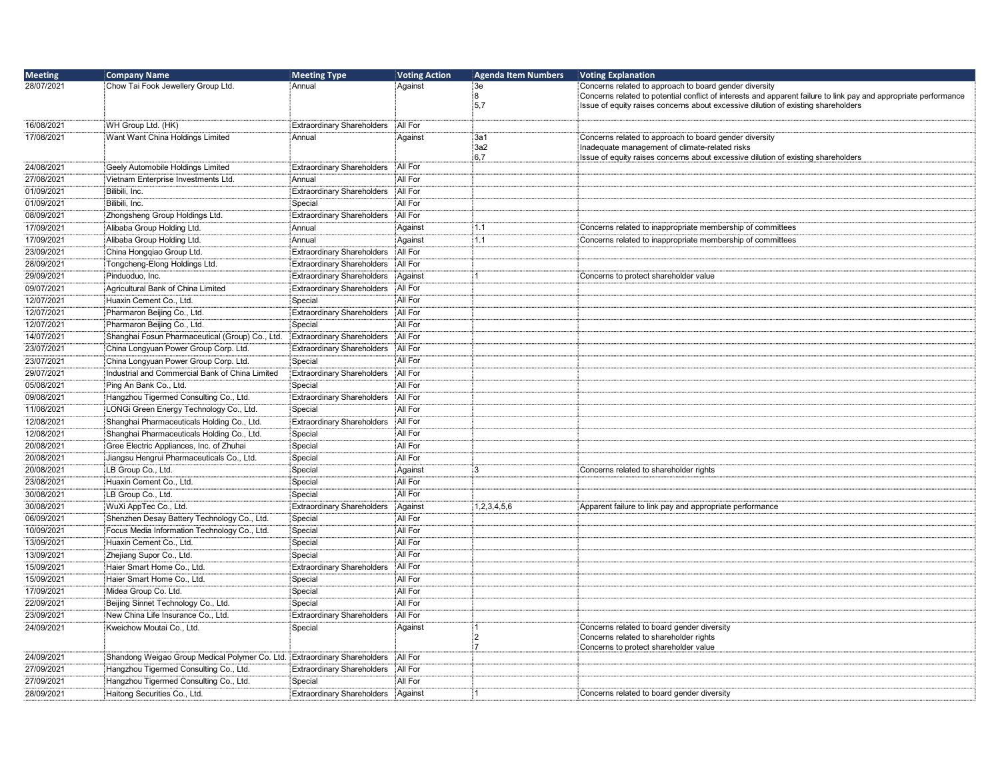| 28/07/2021<br>Chow Tai Fook Jewellery Group Ltd.<br>Annual<br>Against<br>:Зе<br>Concerns related to approach to board gender diversity<br>់8<br>Concerns related to potential conflict of interests and apparent failure to link pay and appropriate performance<br>:5,7<br>Issue of equity raises concerns about excessive dilution of existing shareholders<br>16/08/2021<br>WH Group Ltd. (HK)<br>All For<br><b>Extraordinary Shareholders</b><br>17/08/2021<br>Want Want China Holdings Limited<br>Annual<br>Against<br>:3a1<br>Concerns related to approach to board gender diversity<br>3a2<br>Inadequate management of climate-related risks<br>6.7<br>Issue of equity raises concerns about excessive dilution of existing shareholders<br>All For<br>24/08/2021<br>Geely Automobile Holdings Limited<br><b>Extraordinary Shareholders</b><br>All For<br>27/08/2021<br>Vietnam Enterprise Investments Ltd.<br>Annual<br>01/09/2021<br>Bilibili, Inc.<br>All For<br><b>Extraordinary Shareholders</b><br>01/09/2021<br>Bilibili, Inc.<br>All For<br>Special<br>All For<br><b>Extraordinary Shareholders</b><br>08/09/2021<br>Zhongsheng Group Holdings Ltd.<br>17/09/2021<br>Alibaba Group Holding Ltd.<br>1.1<br>Concerns related to inappropriate membership of committees<br>Annual<br>Against<br>17/09/2021<br>Alibaba Group Holding Ltd.<br>1.1<br>Annual<br>Against<br>Concerns related to inappropriate membership of committees<br>All For<br>23/09/2021<br>China Hongqiao Group Ltd.<br><b>Extraordinary Shareholders</b><br>28/09/2021<br>Tongcheng-Elong Holdings Ltd.<br>All For<br><b>Extraordinary Shareholders</b><br>29/09/2021<br>Pinduoduo, Inc.<br><b>Extraordinary Shareholders</b><br>Against<br>Concerns to protect shareholder value<br>09/07/2021<br>Agricultural Bank of China Limited<br><b>Extraordinary Shareholders</b><br>All For<br>All For<br>12/07/2021<br>Huaxin Cement Co., Ltd.<br>Special<br><b>Extraordinary Shareholders</b><br>All For<br>12/07/2021<br>Pharmaron Beijing Co., Ltd.<br>12/07/2021<br>Pharmaron Beijing Co., Ltd.<br>Special<br>All For<br>14/07/2021<br>All For<br>Shanghai Fosun Pharmaceutical (Group) Co., Ltd.<br>Extraordinary Shareholders<br>23/07/2021<br>China Longyuan Power Group Corp. Ltd.<br><b>Extraordinary Shareholders</b><br>All For<br>23/07/2021<br>Special<br>All For<br>China Longyuan Power Group Corp. Ltd.<br>All For<br>29/07/2021<br>Industrial and Commercial Bank of China Limited<br><b>Extraordinary Shareholders</b><br>05/08/2021<br>Ping An Bank Co., Ltd.<br>All For<br>Special<br>Hangzhou Tigermed Consulting Co., Ltd.<br><b>Extraordinary Shareholders</b><br>All For<br>09/08/2021<br>All For<br>11/08/2021<br>LONGi Green Energy Technology Co., Ltd.<br>Special<br>12/08/2021<br>Shanghai Pharmaceuticals Holding Co., Ltd.<br><b>Extraordinary Shareholders</b><br>All For<br>12/08/2021<br>Shanghai Pharmaceuticals Holding Co., Ltd.<br>All For<br>Special<br>20/08/2021<br>Gree Electric Appliances, Inc. of Zhuhai<br>Special<br>All For<br>All For<br>20/08/2021<br>Jiangsu Hengrui Pharmaceuticals Co., Ltd.<br>Special<br>20/08/2021<br>LB Group Co., Ltd.<br>Special<br>iЗ<br>Against<br>Concerns related to shareholder rights<br>23/08/2021<br>Huaxin Cement Co., Ltd.<br>All For<br>Special<br>All For<br>30/08/2021<br>LB Group Co., Ltd.<br>Special<br>30/08/2021<br>WuXi AppTec Co., Ltd.<br>1,2,3,4,5,6<br><b>Extraordinary Shareholders</b><br>Against<br>Apparent failure to link pay and appropriate performance<br>06/09/2021<br>All For<br>Shenzhen Desay Battery Technology Co., Ltd.<br>Special<br>10/09/2021<br>Focus Media Information Technology Co., Ltd.<br>Special<br>All For<br>13/09/2021<br>Huaxin Cement Co., Ltd<br>All For<br>Special<br>All For<br>13/09/2021<br>Zhejiang Supor Co., Ltd.<br>Special<br>15/09/2021<br>Haier Smart Home Co., Ltd.<br><b>Extraordinary Shareholders</b><br>All For<br>15/09/2021<br>Haier Smart Home Co., Ltd.<br>All For<br>Special<br>17/09/2021<br>Midea Group Co. Ltd.<br>Special<br>All For<br>All For<br>22/09/2021<br>Beijing Sinnet Technology Co., Ltd.<br>Special<br>All For<br>23/09/2021<br>New China Life Insurance Co., Ltd.<br><b>Extraordinary Shareholders</b><br>24/09/2021<br>Kweichow Moutai Co., Ltd.<br>Special<br>Against<br>Concerns related to board gender diversity<br>:2<br>Concerns related to shareholder rights<br>:7<br>Concerns to protect shareholder value<br>All For<br>24/09/2021<br>Shandong Weigao Group Medical Polymer Co. Ltd.<br><b>Extraordinary Shareholders</b><br>27/09/2021<br>Hangzhou Tigermed Consulting Co., Ltd.<br><b>Extraordinary Shareholders</b><br>All For<br>All For<br>27/09/2021<br>Hangzhou Tigermed Consulting Co., Ltd.<br>Special | <b>Meeting</b> | <b>Company Name</b>          | <b>Meeting Type</b>               | <b>Voting Action</b> | <b>Agenda Item Numbers</b> | <b>Voting Explanation</b>                  |
|---------------------------------------------------------------------------------------------------------------------------------------------------------------------------------------------------------------------------------------------------------------------------------------------------------------------------------------------------------------------------------------------------------------------------------------------------------------------------------------------------------------------------------------------------------------------------------------------------------------------------------------------------------------------------------------------------------------------------------------------------------------------------------------------------------------------------------------------------------------------------------------------------------------------------------------------------------------------------------------------------------------------------------------------------------------------------------------------------------------------------------------------------------------------------------------------------------------------------------------------------------------------------------------------------------------------------------------------------------------------------------------------------------------------------------------------------------------------------------------------------------------------------------------------------------------------------------------------------------------------------------------------------------------------------------------------------------------------------------------------------------------------------------------------------------------------------------------------------------------------------------------------------------------------------------------------------------------------------------------------------------------------------------------------------------------------------------------------------------------------------------------------------------------------------------------------------------------------------------------------------------------------------------------------------------------------------------------------------------------------------------------------------------------------------------------------------------------------------------------------------------------------------------------------------------------------------------------------------------------------------------------------------------------------------------------------------------------------------------------------------------------------------------------------------------------------------------------------------------------------------------------------------------------------------------------------------------------------------------------------------------------------------------------------------------------------------------------------------------------------------------------------------------------------------------------------------------------------------------------------------------------------------------------------------------------------------------------------------------------------------------------------------------------------------------------------------------------------------------------------------------------------------------------------------------------------------------------------------------------------------------------------------------------------------------------------------------------------------------------------------------------------------------------------------------------------------------------------------------------------------------------------------------------------------------------------------------------------------------------------------------------------------------------------------------------------------------------------------------------------------------------------------------------------------------------------------------------------------------------------------------------------------------------------------------------------------------------------------------------------------------------------------------------------------------------------------------------------------------------------------------------------------------------------------------------------------------------------------------------------------------------------------------------------------------------------------------------------------------------------------------------------------------|----------------|------------------------------|-----------------------------------|----------------------|----------------------------|--------------------------------------------|
|                                                                                                                                                                                                                                                                                                                                                                                                                                                                                                                                                                                                                                                                                                                                                                                                                                                                                                                                                                                                                                                                                                                                                                                                                                                                                                                                                                                                                                                                                                                                                                                                                                                                                                                                                                                                                                                                                                                                                                                                                                                                                                                                                                                                                                                                                                                                                                                                                                                                                                                                                                                                                                                                                                                                                                                                                                                                                                                                                                                                                                                                                                                                                                                                                                                                                                                                                                                                                                                                                                                                                                                                                                                                                                                                                                                                                                                                                                                                                                                                                                                                                                                                                                                                                                                                                                                                                                                                                                                                                                                                                                                                                                                                                                                                                                                 |                |                              |                                   |                      |                            |                                            |
|                                                                                                                                                                                                                                                                                                                                                                                                                                                                                                                                                                                                                                                                                                                                                                                                                                                                                                                                                                                                                                                                                                                                                                                                                                                                                                                                                                                                                                                                                                                                                                                                                                                                                                                                                                                                                                                                                                                                                                                                                                                                                                                                                                                                                                                                                                                                                                                                                                                                                                                                                                                                                                                                                                                                                                                                                                                                                                                                                                                                                                                                                                                                                                                                                                                                                                                                                                                                                                                                                                                                                                                                                                                                                                                                                                                                                                                                                                                                                                                                                                                                                                                                                                                                                                                                                                                                                                                                                                                                                                                                                                                                                                                                                                                                                                                 |                |                              |                                   |                      |                            |                                            |
|                                                                                                                                                                                                                                                                                                                                                                                                                                                                                                                                                                                                                                                                                                                                                                                                                                                                                                                                                                                                                                                                                                                                                                                                                                                                                                                                                                                                                                                                                                                                                                                                                                                                                                                                                                                                                                                                                                                                                                                                                                                                                                                                                                                                                                                                                                                                                                                                                                                                                                                                                                                                                                                                                                                                                                                                                                                                                                                                                                                                                                                                                                                                                                                                                                                                                                                                                                                                                                                                                                                                                                                                                                                                                                                                                                                                                                                                                                                                                                                                                                                                                                                                                                                                                                                                                                                                                                                                                                                                                                                                                                                                                                                                                                                                                                                 |                |                              |                                   |                      |                            |                                            |
|                                                                                                                                                                                                                                                                                                                                                                                                                                                                                                                                                                                                                                                                                                                                                                                                                                                                                                                                                                                                                                                                                                                                                                                                                                                                                                                                                                                                                                                                                                                                                                                                                                                                                                                                                                                                                                                                                                                                                                                                                                                                                                                                                                                                                                                                                                                                                                                                                                                                                                                                                                                                                                                                                                                                                                                                                                                                                                                                                                                                                                                                                                                                                                                                                                                                                                                                                                                                                                                                                                                                                                                                                                                                                                                                                                                                                                                                                                                                                                                                                                                                                                                                                                                                                                                                                                                                                                                                                                                                                                                                                                                                                                                                                                                                                                                 |                |                              |                                   |                      |                            |                                            |
|                                                                                                                                                                                                                                                                                                                                                                                                                                                                                                                                                                                                                                                                                                                                                                                                                                                                                                                                                                                                                                                                                                                                                                                                                                                                                                                                                                                                                                                                                                                                                                                                                                                                                                                                                                                                                                                                                                                                                                                                                                                                                                                                                                                                                                                                                                                                                                                                                                                                                                                                                                                                                                                                                                                                                                                                                                                                                                                                                                                                                                                                                                                                                                                                                                                                                                                                                                                                                                                                                                                                                                                                                                                                                                                                                                                                                                                                                                                                                                                                                                                                                                                                                                                                                                                                                                                                                                                                                                                                                                                                                                                                                                                                                                                                                                                 |                |                              |                                   |                      |                            |                                            |
|                                                                                                                                                                                                                                                                                                                                                                                                                                                                                                                                                                                                                                                                                                                                                                                                                                                                                                                                                                                                                                                                                                                                                                                                                                                                                                                                                                                                                                                                                                                                                                                                                                                                                                                                                                                                                                                                                                                                                                                                                                                                                                                                                                                                                                                                                                                                                                                                                                                                                                                                                                                                                                                                                                                                                                                                                                                                                                                                                                                                                                                                                                                                                                                                                                                                                                                                                                                                                                                                                                                                                                                                                                                                                                                                                                                                                                                                                                                                                                                                                                                                                                                                                                                                                                                                                                                                                                                                                                                                                                                                                                                                                                                                                                                                                                                 |                |                              |                                   |                      |                            |                                            |
|                                                                                                                                                                                                                                                                                                                                                                                                                                                                                                                                                                                                                                                                                                                                                                                                                                                                                                                                                                                                                                                                                                                                                                                                                                                                                                                                                                                                                                                                                                                                                                                                                                                                                                                                                                                                                                                                                                                                                                                                                                                                                                                                                                                                                                                                                                                                                                                                                                                                                                                                                                                                                                                                                                                                                                                                                                                                                                                                                                                                                                                                                                                                                                                                                                                                                                                                                                                                                                                                                                                                                                                                                                                                                                                                                                                                                                                                                                                                                                                                                                                                                                                                                                                                                                                                                                                                                                                                                                                                                                                                                                                                                                                                                                                                                                                 |                |                              |                                   |                      |                            |                                            |
|                                                                                                                                                                                                                                                                                                                                                                                                                                                                                                                                                                                                                                                                                                                                                                                                                                                                                                                                                                                                                                                                                                                                                                                                                                                                                                                                                                                                                                                                                                                                                                                                                                                                                                                                                                                                                                                                                                                                                                                                                                                                                                                                                                                                                                                                                                                                                                                                                                                                                                                                                                                                                                                                                                                                                                                                                                                                                                                                                                                                                                                                                                                                                                                                                                                                                                                                                                                                                                                                                                                                                                                                                                                                                                                                                                                                                                                                                                                                                                                                                                                                                                                                                                                                                                                                                                                                                                                                                                                                                                                                                                                                                                                                                                                                                                                 |                |                              |                                   |                      |                            |                                            |
|                                                                                                                                                                                                                                                                                                                                                                                                                                                                                                                                                                                                                                                                                                                                                                                                                                                                                                                                                                                                                                                                                                                                                                                                                                                                                                                                                                                                                                                                                                                                                                                                                                                                                                                                                                                                                                                                                                                                                                                                                                                                                                                                                                                                                                                                                                                                                                                                                                                                                                                                                                                                                                                                                                                                                                                                                                                                                                                                                                                                                                                                                                                                                                                                                                                                                                                                                                                                                                                                                                                                                                                                                                                                                                                                                                                                                                                                                                                                                                                                                                                                                                                                                                                                                                                                                                                                                                                                                                                                                                                                                                                                                                                                                                                                                                                 |                |                              |                                   |                      |                            |                                            |
|                                                                                                                                                                                                                                                                                                                                                                                                                                                                                                                                                                                                                                                                                                                                                                                                                                                                                                                                                                                                                                                                                                                                                                                                                                                                                                                                                                                                                                                                                                                                                                                                                                                                                                                                                                                                                                                                                                                                                                                                                                                                                                                                                                                                                                                                                                                                                                                                                                                                                                                                                                                                                                                                                                                                                                                                                                                                                                                                                                                                                                                                                                                                                                                                                                                                                                                                                                                                                                                                                                                                                                                                                                                                                                                                                                                                                                                                                                                                                                                                                                                                                                                                                                                                                                                                                                                                                                                                                                                                                                                                                                                                                                                                                                                                                                                 |                |                              |                                   |                      |                            |                                            |
|                                                                                                                                                                                                                                                                                                                                                                                                                                                                                                                                                                                                                                                                                                                                                                                                                                                                                                                                                                                                                                                                                                                                                                                                                                                                                                                                                                                                                                                                                                                                                                                                                                                                                                                                                                                                                                                                                                                                                                                                                                                                                                                                                                                                                                                                                                                                                                                                                                                                                                                                                                                                                                                                                                                                                                                                                                                                                                                                                                                                                                                                                                                                                                                                                                                                                                                                                                                                                                                                                                                                                                                                                                                                                                                                                                                                                                                                                                                                                                                                                                                                                                                                                                                                                                                                                                                                                                                                                                                                                                                                                                                                                                                                                                                                                                                 |                |                              |                                   |                      |                            |                                            |
|                                                                                                                                                                                                                                                                                                                                                                                                                                                                                                                                                                                                                                                                                                                                                                                                                                                                                                                                                                                                                                                                                                                                                                                                                                                                                                                                                                                                                                                                                                                                                                                                                                                                                                                                                                                                                                                                                                                                                                                                                                                                                                                                                                                                                                                                                                                                                                                                                                                                                                                                                                                                                                                                                                                                                                                                                                                                                                                                                                                                                                                                                                                                                                                                                                                                                                                                                                                                                                                                                                                                                                                                                                                                                                                                                                                                                                                                                                                                                                                                                                                                                                                                                                                                                                                                                                                                                                                                                                                                                                                                                                                                                                                                                                                                                                                 |                |                              |                                   |                      |                            |                                            |
|                                                                                                                                                                                                                                                                                                                                                                                                                                                                                                                                                                                                                                                                                                                                                                                                                                                                                                                                                                                                                                                                                                                                                                                                                                                                                                                                                                                                                                                                                                                                                                                                                                                                                                                                                                                                                                                                                                                                                                                                                                                                                                                                                                                                                                                                                                                                                                                                                                                                                                                                                                                                                                                                                                                                                                                                                                                                                                                                                                                                                                                                                                                                                                                                                                                                                                                                                                                                                                                                                                                                                                                                                                                                                                                                                                                                                                                                                                                                                                                                                                                                                                                                                                                                                                                                                                                                                                                                                                                                                                                                                                                                                                                                                                                                                                                 |                |                              |                                   |                      |                            |                                            |
|                                                                                                                                                                                                                                                                                                                                                                                                                                                                                                                                                                                                                                                                                                                                                                                                                                                                                                                                                                                                                                                                                                                                                                                                                                                                                                                                                                                                                                                                                                                                                                                                                                                                                                                                                                                                                                                                                                                                                                                                                                                                                                                                                                                                                                                                                                                                                                                                                                                                                                                                                                                                                                                                                                                                                                                                                                                                                                                                                                                                                                                                                                                                                                                                                                                                                                                                                                                                                                                                                                                                                                                                                                                                                                                                                                                                                                                                                                                                                                                                                                                                                                                                                                                                                                                                                                                                                                                                                                                                                                                                                                                                                                                                                                                                                                                 |                |                              |                                   |                      |                            |                                            |
|                                                                                                                                                                                                                                                                                                                                                                                                                                                                                                                                                                                                                                                                                                                                                                                                                                                                                                                                                                                                                                                                                                                                                                                                                                                                                                                                                                                                                                                                                                                                                                                                                                                                                                                                                                                                                                                                                                                                                                                                                                                                                                                                                                                                                                                                                                                                                                                                                                                                                                                                                                                                                                                                                                                                                                                                                                                                                                                                                                                                                                                                                                                                                                                                                                                                                                                                                                                                                                                                                                                                                                                                                                                                                                                                                                                                                                                                                                                                                                                                                                                                                                                                                                                                                                                                                                                                                                                                                                                                                                                                                                                                                                                                                                                                                                                 |                |                              |                                   |                      |                            |                                            |
|                                                                                                                                                                                                                                                                                                                                                                                                                                                                                                                                                                                                                                                                                                                                                                                                                                                                                                                                                                                                                                                                                                                                                                                                                                                                                                                                                                                                                                                                                                                                                                                                                                                                                                                                                                                                                                                                                                                                                                                                                                                                                                                                                                                                                                                                                                                                                                                                                                                                                                                                                                                                                                                                                                                                                                                                                                                                                                                                                                                                                                                                                                                                                                                                                                                                                                                                                                                                                                                                                                                                                                                                                                                                                                                                                                                                                                                                                                                                                                                                                                                                                                                                                                                                                                                                                                                                                                                                                                                                                                                                                                                                                                                                                                                                                                                 |                |                              |                                   |                      |                            |                                            |
|                                                                                                                                                                                                                                                                                                                                                                                                                                                                                                                                                                                                                                                                                                                                                                                                                                                                                                                                                                                                                                                                                                                                                                                                                                                                                                                                                                                                                                                                                                                                                                                                                                                                                                                                                                                                                                                                                                                                                                                                                                                                                                                                                                                                                                                                                                                                                                                                                                                                                                                                                                                                                                                                                                                                                                                                                                                                                                                                                                                                                                                                                                                                                                                                                                                                                                                                                                                                                                                                                                                                                                                                                                                                                                                                                                                                                                                                                                                                                                                                                                                                                                                                                                                                                                                                                                                                                                                                                                                                                                                                                                                                                                                                                                                                                                                 |                |                              |                                   |                      |                            |                                            |
|                                                                                                                                                                                                                                                                                                                                                                                                                                                                                                                                                                                                                                                                                                                                                                                                                                                                                                                                                                                                                                                                                                                                                                                                                                                                                                                                                                                                                                                                                                                                                                                                                                                                                                                                                                                                                                                                                                                                                                                                                                                                                                                                                                                                                                                                                                                                                                                                                                                                                                                                                                                                                                                                                                                                                                                                                                                                                                                                                                                                                                                                                                                                                                                                                                                                                                                                                                                                                                                                                                                                                                                                                                                                                                                                                                                                                                                                                                                                                                                                                                                                                                                                                                                                                                                                                                                                                                                                                                                                                                                                                                                                                                                                                                                                                                                 |                |                              |                                   |                      |                            |                                            |
|                                                                                                                                                                                                                                                                                                                                                                                                                                                                                                                                                                                                                                                                                                                                                                                                                                                                                                                                                                                                                                                                                                                                                                                                                                                                                                                                                                                                                                                                                                                                                                                                                                                                                                                                                                                                                                                                                                                                                                                                                                                                                                                                                                                                                                                                                                                                                                                                                                                                                                                                                                                                                                                                                                                                                                                                                                                                                                                                                                                                                                                                                                                                                                                                                                                                                                                                                                                                                                                                                                                                                                                                                                                                                                                                                                                                                                                                                                                                                                                                                                                                                                                                                                                                                                                                                                                                                                                                                                                                                                                                                                                                                                                                                                                                                                                 |                |                              |                                   |                      |                            |                                            |
|                                                                                                                                                                                                                                                                                                                                                                                                                                                                                                                                                                                                                                                                                                                                                                                                                                                                                                                                                                                                                                                                                                                                                                                                                                                                                                                                                                                                                                                                                                                                                                                                                                                                                                                                                                                                                                                                                                                                                                                                                                                                                                                                                                                                                                                                                                                                                                                                                                                                                                                                                                                                                                                                                                                                                                                                                                                                                                                                                                                                                                                                                                                                                                                                                                                                                                                                                                                                                                                                                                                                                                                                                                                                                                                                                                                                                                                                                                                                                                                                                                                                                                                                                                                                                                                                                                                                                                                                                                                                                                                                                                                                                                                                                                                                                                                 |                |                              |                                   |                      |                            |                                            |
|                                                                                                                                                                                                                                                                                                                                                                                                                                                                                                                                                                                                                                                                                                                                                                                                                                                                                                                                                                                                                                                                                                                                                                                                                                                                                                                                                                                                                                                                                                                                                                                                                                                                                                                                                                                                                                                                                                                                                                                                                                                                                                                                                                                                                                                                                                                                                                                                                                                                                                                                                                                                                                                                                                                                                                                                                                                                                                                                                                                                                                                                                                                                                                                                                                                                                                                                                                                                                                                                                                                                                                                                                                                                                                                                                                                                                                                                                                                                                                                                                                                                                                                                                                                                                                                                                                                                                                                                                                                                                                                                                                                                                                                                                                                                                                                 |                |                              |                                   |                      |                            |                                            |
|                                                                                                                                                                                                                                                                                                                                                                                                                                                                                                                                                                                                                                                                                                                                                                                                                                                                                                                                                                                                                                                                                                                                                                                                                                                                                                                                                                                                                                                                                                                                                                                                                                                                                                                                                                                                                                                                                                                                                                                                                                                                                                                                                                                                                                                                                                                                                                                                                                                                                                                                                                                                                                                                                                                                                                                                                                                                                                                                                                                                                                                                                                                                                                                                                                                                                                                                                                                                                                                                                                                                                                                                                                                                                                                                                                                                                                                                                                                                                                                                                                                                                                                                                                                                                                                                                                                                                                                                                                                                                                                                                                                                                                                                                                                                                                                 |                |                              |                                   |                      |                            |                                            |
|                                                                                                                                                                                                                                                                                                                                                                                                                                                                                                                                                                                                                                                                                                                                                                                                                                                                                                                                                                                                                                                                                                                                                                                                                                                                                                                                                                                                                                                                                                                                                                                                                                                                                                                                                                                                                                                                                                                                                                                                                                                                                                                                                                                                                                                                                                                                                                                                                                                                                                                                                                                                                                                                                                                                                                                                                                                                                                                                                                                                                                                                                                                                                                                                                                                                                                                                                                                                                                                                                                                                                                                                                                                                                                                                                                                                                                                                                                                                                                                                                                                                                                                                                                                                                                                                                                                                                                                                                                                                                                                                                                                                                                                                                                                                                                                 |                |                              |                                   |                      |                            |                                            |
|                                                                                                                                                                                                                                                                                                                                                                                                                                                                                                                                                                                                                                                                                                                                                                                                                                                                                                                                                                                                                                                                                                                                                                                                                                                                                                                                                                                                                                                                                                                                                                                                                                                                                                                                                                                                                                                                                                                                                                                                                                                                                                                                                                                                                                                                                                                                                                                                                                                                                                                                                                                                                                                                                                                                                                                                                                                                                                                                                                                                                                                                                                                                                                                                                                                                                                                                                                                                                                                                                                                                                                                                                                                                                                                                                                                                                                                                                                                                                                                                                                                                                                                                                                                                                                                                                                                                                                                                                                                                                                                                                                                                                                                                                                                                                                                 |                |                              |                                   |                      |                            |                                            |
|                                                                                                                                                                                                                                                                                                                                                                                                                                                                                                                                                                                                                                                                                                                                                                                                                                                                                                                                                                                                                                                                                                                                                                                                                                                                                                                                                                                                                                                                                                                                                                                                                                                                                                                                                                                                                                                                                                                                                                                                                                                                                                                                                                                                                                                                                                                                                                                                                                                                                                                                                                                                                                                                                                                                                                                                                                                                                                                                                                                                                                                                                                                                                                                                                                                                                                                                                                                                                                                                                                                                                                                                                                                                                                                                                                                                                                                                                                                                                                                                                                                                                                                                                                                                                                                                                                                                                                                                                                                                                                                                                                                                                                                                                                                                                                                 |                |                              |                                   |                      |                            |                                            |
|                                                                                                                                                                                                                                                                                                                                                                                                                                                                                                                                                                                                                                                                                                                                                                                                                                                                                                                                                                                                                                                                                                                                                                                                                                                                                                                                                                                                                                                                                                                                                                                                                                                                                                                                                                                                                                                                                                                                                                                                                                                                                                                                                                                                                                                                                                                                                                                                                                                                                                                                                                                                                                                                                                                                                                                                                                                                                                                                                                                                                                                                                                                                                                                                                                                                                                                                                                                                                                                                                                                                                                                                                                                                                                                                                                                                                                                                                                                                                                                                                                                                                                                                                                                                                                                                                                                                                                                                                                                                                                                                                                                                                                                                                                                                                                                 |                |                              |                                   |                      |                            |                                            |
|                                                                                                                                                                                                                                                                                                                                                                                                                                                                                                                                                                                                                                                                                                                                                                                                                                                                                                                                                                                                                                                                                                                                                                                                                                                                                                                                                                                                                                                                                                                                                                                                                                                                                                                                                                                                                                                                                                                                                                                                                                                                                                                                                                                                                                                                                                                                                                                                                                                                                                                                                                                                                                                                                                                                                                                                                                                                                                                                                                                                                                                                                                                                                                                                                                                                                                                                                                                                                                                                                                                                                                                                                                                                                                                                                                                                                                                                                                                                                                                                                                                                                                                                                                                                                                                                                                                                                                                                                                                                                                                                                                                                                                                                                                                                                                                 |                |                              |                                   |                      |                            |                                            |
|                                                                                                                                                                                                                                                                                                                                                                                                                                                                                                                                                                                                                                                                                                                                                                                                                                                                                                                                                                                                                                                                                                                                                                                                                                                                                                                                                                                                                                                                                                                                                                                                                                                                                                                                                                                                                                                                                                                                                                                                                                                                                                                                                                                                                                                                                                                                                                                                                                                                                                                                                                                                                                                                                                                                                                                                                                                                                                                                                                                                                                                                                                                                                                                                                                                                                                                                                                                                                                                                                                                                                                                                                                                                                                                                                                                                                                                                                                                                                                                                                                                                                                                                                                                                                                                                                                                                                                                                                                                                                                                                                                                                                                                                                                                                                                                 |                |                              |                                   |                      |                            |                                            |
|                                                                                                                                                                                                                                                                                                                                                                                                                                                                                                                                                                                                                                                                                                                                                                                                                                                                                                                                                                                                                                                                                                                                                                                                                                                                                                                                                                                                                                                                                                                                                                                                                                                                                                                                                                                                                                                                                                                                                                                                                                                                                                                                                                                                                                                                                                                                                                                                                                                                                                                                                                                                                                                                                                                                                                                                                                                                                                                                                                                                                                                                                                                                                                                                                                                                                                                                                                                                                                                                                                                                                                                                                                                                                                                                                                                                                                                                                                                                                                                                                                                                                                                                                                                                                                                                                                                                                                                                                                                                                                                                                                                                                                                                                                                                                                                 |                |                              |                                   |                      |                            |                                            |
|                                                                                                                                                                                                                                                                                                                                                                                                                                                                                                                                                                                                                                                                                                                                                                                                                                                                                                                                                                                                                                                                                                                                                                                                                                                                                                                                                                                                                                                                                                                                                                                                                                                                                                                                                                                                                                                                                                                                                                                                                                                                                                                                                                                                                                                                                                                                                                                                                                                                                                                                                                                                                                                                                                                                                                                                                                                                                                                                                                                                                                                                                                                                                                                                                                                                                                                                                                                                                                                                                                                                                                                                                                                                                                                                                                                                                                                                                                                                                                                                                                                                                                                                                                                                                                                                                                                                                                                                                                                                                                                                                                                                                                                                                                                                                                                 |                |                              |                                   |                      |                            |                                            |
|                                                                                                                                                                                                                                                                                                                                                                                                                                                                                                                                                                                                                                                                                                                                                                                                                                                                                                                                                                                                                                                                                                                                                                                                                                                                                                                                                                                                                                                                                                                                                                                                                                                                                                                                                                                                                                                                                                                                                                                                                                                                                                                                                                                                                                                                                                                                                                                                                                                                                                                                                                                                                                                                                                                                                                                                                                                                                                                                                                                                                                                                                                                                                                                                                                                                                                                                                                                                                                                                                                                                                                                                                                                                                                                                                                                                                                                                                                                                                                                                                                                                                                                                                                                                                                                                                                                                                                                                                                                                                                                                                                                                                                                                                                                                                                                 |                |                              |                                   |                      |                            |                                            |
|                                                                                                                                                                                                                                                                                                                                                                                                                                                                                                                                                                                                                                                                                                                                                                                                                                                                                                                                                                                                                                                                                                                                                                                                                                                                                                                                                                                                                                                                                                                                                                                                                                                                                                                                                                                                                                                                                                                                                                                                                                                                                                                                                                                                                                                                                                                                                                                                                                                                                                                                                                                                                                                                                                                                                                                                                                                                                                                                                                                                                                                                                                                                                                                                                                                                                                                                                                                                                                                                                                                                                                                                                                                                                                                                                                                                                                                                                                                                                                                                                                                                                                                                                                                                                                                                                                                                                                                                                                                                                                                                                                                                                                                                                                                                                                                 |                |                              |                                   |                      |                            |                                            |
|                                                                                                                                                                                                                                                                                                                                                                                                                                                                                                                                                                                                                                                                                                                                                                                                                                                                                                                                                                                                                                                                                                                                                                                                                                                                                                                                                                                                                                                                                                                                                                                                                                                                                                                                                                                                                                                                                                                                                                                                                                                                                                                                                                                                                                                                                                                                                                                                                                                                                                                                                                                                                                                                                                                                                                                                                                                                                                                                                                                                                                                                                                                                                                                                                                                                                                                                                                                                                                                                                                                                                                                                                                                                                                                                                                                                                                                                                                                                                                                                                                                                                                                                                                                                                                                                                                                                                                                                                                                                                                                                                                                                                                                                                                                                                                                 |                |                              |                                   |                      |                            |                                            |
|                                                                                                                                                                                                                                                                                                                                                                                                                                                                                                                                                                                                                                                                                                                                                                                                                                                                                                                                                                                                                                                                                                                                                                                                                                                                                                                                                                                                                                                                                                                                                                                                                                                                                                                                                                                                                                                                                                                                                                                                                                                                                                                                                                                                                                                                                                                                                                                                                                                                                                                                                                                                                                                                                                                                                                                                                                                                                                                                                                                                                                                                                                                                                                                                                                                                                                                                                                                                                                                                                                                                                                                                                                                                                                                                                                                                                                                                                                                                                                                                                                                                                                                                                                                                                                                                                                                                                                                                                                                                                                                                                                                                                                                                                                                                                                                 |                |                              |                                   |                      |                            |                                            |
|                                                                                                                                                                                                                                                                                                                                                                                                                                                                                                                                                                                                                                                                                                                                                                                                                                                                                                                                                                                                                                                                                                                                                                                                                                                                                                                                                                                                                                                                                                                                                                                                                                                                                                                                                                                                                                                                                                                                                                                                                                                                                                                                                                                                                                                                                                                                                                                                                                                                                                                                                                                                                                                                                                                                                                                                                                                                                                                                                                                                                                                                                                                                                                                                                                                                                                                                                                                                                                                                                                                                                                                                                                                                                                                                                                                                                                                                                                                                                                                                                                                                                                                                                                                                                                                                                                                                                                                                                                                                                                                                                                                                                                                                                                                                                                                 |                |                              |                                   |                      |                            |                                            |
|                                                                                                                                                                                                                                                                                                                                                                                                                                                                                                                                                                                                                                                                                                                                                                                                                                                                                                                                                                                                                                                                                                                                                                                                                                                                                                                                                                                                                                                                                                                                                                                                                                                                                                                                                                                                                                                                                                                                                                                                                                                                                                                                                                                                                                                                                                                                                                                                                                                                                                                                                                                                                                                                                                                                                                                                                                                                                                                                                                                                                                                                                                                                                                                                                                                                                                                                                                                                                                                                                                                                                                                                                                                                                                                                                                                                                                                                                                                                                                                                                                                                                                                                                                                                                                                                                                                                                                                                                                                                                                                                                                                                                                                                                                                                                                                 |                |                              |                                   |                      |                            |                                            |
|                                                                                                                                                                                                                                                                                                                                                                                                                                                                                                                                                                                                                                                                                                                                                                                                                                                                                                                                                                                                                                                                                                                                                                                                                                                                                                                                                                                                                                                                                                                                                                                                                                                                                                                                                                                                                                                                                                                                                                                                                                                                                                                                                                                                                                                                                                                                                                                                                                                                                                                                                                                                                                                                                                                                                                                                                                                                                                                                                                                                                                                                                                                                                                                                                                                                                                                                                                                                                                                                                                                                                                                                                                                                                                                                                                                                                                                                                                                                                                                                                                                                                                                                                                                                                                                                                                                                                                                                                                                                                                                                                                                                                                                                                                                                                                                 |                |                              |                                   |                      |                            |                                            |
|                                                                                                                                                                                                                                                                                                                                                                                                                                                                                                                                                                                                                                                                                                                                                                                                                                                                                                                                                                                                                                                                                                                                                                                                                                                                                                                                                                                                                                                                                                                                                                                                                                                                                                                                                                                                                                                                                                                                                                                                                                                                                                                                                                                                                                                                                                                                                                                                                                                                                                                                                                                                                                                                                                                                                                                                                                                                                                                                                                                                                                                                                                                                                                                                                                                                                                                                                                                                                                                                                                                                                                                                                                                                                                                                                                                                                                                                                                                                                                                                                                                                                                                                                                                                                                                                                                                                                                                                                                                                                                                                                                                                                                                                                                                                                                                 |                |                              |                                   |                      |                            |                                            |
|                                                                                                                                                                                                                                                                                                                                                                                                                                                                                                                                                                                                                                                                                                                                                                                                                                                                                                                                                                                                                                                                                                                                                                                                                                                                                                                                                                                                                                                                                                                                                                                                                                                                                                                                                                                                                                                                                                                                                                                                                                                                                                                                                                                                                                                                                                                                                                                                                                                                                                                                                                                                                                                                                                                                                                                                                                                                                                                                                                                                                                                                                                                                                                                                                                                                                                                                                                                                                                                                                                                                                                                                                                                                                                                                                                                                                                                                                                                                                                                                                                                                                                                                                                                                                                                                                                                                                                                                                                                                                                                                                                                                                                                                                                                                                                                 |                |                              |                                   |                      |                            |                                            |
|                                                                                                                                                                                                                                                                                                                                                                                                                                                                                                                                                                                                                                                                                                                                                                                                                                                                                                                                                                                                                                                                                                                                                                                                                                                                                                                                                                                                                                                                                                                                                                                                                                                                                                                                                                                                                                                                                                                                                                                                                                                                                                                                                                                                                                                                                                                                                                                                                                                                                                                                                                                                                                                                                                                                                                                                                                                                                                                                                                                                                                                                                                                                                                                                                                                                                                                                                                                                                                                                                                                                                                                                                                                                                                                                                                                                                                                                                                                                                                                                                                                                                                                                                                                                                                                                                                                                                                                                                                                                                                                                                                                                                                                                                                                                                                                 |                |                              |                                   |                      |                            |                                            |
|                                                                                                                                                                                                                                                                                                                                                                                                                                                                                                                                                                                                                                                                                                                                                                                                                                                                                                                                                                                                                                                                                                                                                                                                                                                                                                                                                                                                                                                                                                                                                                                                                                                                                                                                                                                                                                                                                                                                                                                                                                                                                                                                                                                                                                                                                                                                                                                                                                                                                                                                                                                                                                                                                                                                                                                                                                                                                                                                                                                                                                                                                                                                                                                                                                                                                                                                                                                                                                                                                                                                                                                                                                                                                                                                                                                                                                                                                                                                                                                                                                                                                                                                                                                                                                                                                                                                                                                                                                                                                                                                                                                                                                                                                                                                                                                 |                |                              |                                   |                      |                            |                                            |
|                                                                                                                                                                                                                                                                                                                                                                                                                                                                                                                                                                                                                                                                                                                                                                                                                                                                                                                                                                                                                                                                                                                                                                                                                                                                                                                                                                                                                                                                                                                                                                                                                                                                                                                                                                                                                                                                                                                                                                                                                                                                                                                                                                                                                                                                                                                                                                                                                                                                                                                                                                                                                                                                                                                                                                                                                                                                                                                                                                                                                                                                                                                                                                                                                                                                                                                                                                                                                                                                                                                                                                                                                                                                                                                                                                                                                                                                                                                                                                                                                                                                                                                                                                                                                                                                                                                                                                                                                                                                                                                                                                                                                                                                                                                                                                                 |                |                              |                                   |                      |                            |                                            |
|                                                                                                                                                                                                                                                                                                                                                                                                                                                                                                                                                                                                                                                                                                                                                                                                                                                                                                                                                                                                                                                                                                                                                                                                                                                                                                                                                                                                                                                                                                                                                                                                                                                                                                                                                                                                                                                                                                                                                                                                                                                                                                                                                                                                                                                                                                                                                                                                                                                                                                                                                                                                                                                                                                                                                                                                                                                                                                                                                                                                                                                                                                                                                                                                                                                                                                                                                                                                                                                                                                                                                                                                                                                                                                                                                                                                                                                                                                                                                                                                                                                                                                                                                                                                                                                                                                                                                                                                                                                                                                                                                                                                                                                                                                                                                                                 |                |                              |                                   |                      |                            |                                            |
|                                                                                                                                                                                                                                                                                                                                                                                                                                                                                                                                                                                                                                                                                                                                                                                                                                                                                                                                                                                                                                                                                                                                                                                                                                                                                                                                                                                                                                                                                                                                                                                                                                                                                                                                                                                                                                                                                                                                                                                                                                                                                                                                                                                                                                                                                                                                                                                                                                                                                                                                                                                                                                                                                                                                                                                                                                                                                                                                                                                                                                                                                                                                                                                                                                                                                                                                                                                                                                                                                                                                                                                                                                                                                                                                                                                                                                                                                                                                                                                                                                                                                                                                                                                                                                                                                                                                                                                                                                                                                                                                                                                                                                                                                                                                                                                 |                |                              |                                   |                      |                            |                                            |
|                                                                                                                                                                                                                                                                                                                                                                                                                                                                                                                                                                                                                                                                                                                                                                                                                                                                                                                                                                                                                                                                                                                                                                                                                                                                                                                                                                                                                                                                                                                                                                                                                                                                                                                                                                                                                                                                                                                                                                                                                                                                                                                                                                                                                                                                                                                                                                                                                                                                                                                                                                                                                                                                                                                                                                                                                                                                                                                                                                                                                                                                                                                                                                                                                                                                                                                                                                                                                                                                                                                                                                                                                                                                                                                                                                                                                                                                                                                                                                                                                                                                                                                                                                                                                                                                                                                                                                                                                                                                                                                                                                                                                                                                                                                                                                                 |                |                              |                                   |                      |                            |                                            |
|                                                                                                                                                                                                                                                                                                                                                                                                                                                                                                                                                                                                                                                                                                                                                                                                                                                                                                                                                                                                                                                                                                                                                                                                                                                                                                                                                                                                                                                                                                                                                                                                                                                                                                                                                                                                                                                                                                                                                                                                                                                                                                                                                                                                                                                                                                                                                                                                                                                                                                                                                                                                                                                                                                                                                                                                                                                                                                                                                                                                                                                                                                                                                                                                                                                                                                                                                                                                                                                                                                                                                                                                                                                                                                                                                                                                                                                                                                                                                                                                                                                                                                                                                                                                                                                                                                                                                                                                                                                                                                                                                                                                                                                                                                                                                                                 |                |                              |                                   |                      |                            |                                            |
|                                                                                                                                                                                                                                                                                                                                                                                                                                                                                                                                                                                                                                                                                                                                                                                                                                                                                                                                                                                                                                                                                                                                                                                                                                                                                                                                                                                                                                                                                                                                                                                                                                                                                                                                                                                                                                                                                                                                                                                                                                                                                                                                                                                                                                                                                                                                                                                                                                                                                                                                                                                                                                                                                                                                                                                                                                                                                                                                                                                                                                                                                                                                                                                                                                                                                                                                                                                                                                                                                                                                                                                                                                                                                                                                                                                                                                                                                                                                                                                                                                                                                                                                                                                                                                                                                                                                                                                                                                                                                                                                                                                                                                                                                                                                                                                 |                |                              |                                   |                      |                            |                                            |
|                                                                                                                                                                                                                                                                                                                                                                                                                                                                                                                                                                                                                                                                                                                                                                                                                                                                                                                                                                                                                                                                                                                                                                                                                                                                                                                                                                                                                                                                                                                                                                                                                                                                                                                                                                                                                                                                                                                                                                                                                                                                                                                                                                                                                                                                                                                                                                                                                                                                                                                                                                                                                                                                                                                                                                                                                                                                                                                                                                                                                                                                                                                                                                                                                                                                                                                                                                                                                                                                                                                                                                                                                                                                                                                                                                                                                                                                                                                                                                                                                                                                                                                                                                                                                                                                                                                                                                                                                                                                                                                                                                                                                                                                                                                                                                                 |                |                              |                                   |                      |                            |                                            |
|                                                                                                                                                                                                                                                                                                                                                                                                                                                                                                                                                                                                                                                                                                                                                                                                                                                                                                                                                                                                                                                                                                                                                                                                                                                                                                                                                                                                                                                                                                                                                                                                                                                                                                                                                                                                                                                                                                                                                                                                                                                                                                                                                                                                                                                                                                                                                                                                                                                                                                                                                                                                                                                                                                                                                                                                                                                                                                                                                                                                                                                                                                                                                                                                                                                                                                                                                                                                                                                                                                                                                                                                                                                                                                                                                                                                                                                                                                                                                                                                                                                                                                                                                                                                                                                                                                                                                                                                                                                                                                                                                                                                                                                                                                                                                                                 |                |                              |                                   |                      |                            |                                            |
|                                                                                                                                                                                                                                                                                                                                                                                                                                                                                                                                                                                                                                                                                                                                                                                                                                                                                                                                                                                                                                                                                                                                                                                                                                                                                                                                                                                                                                                                                                                                                                                                                                                                                                                                                                                                                                                                                                                                                                                                                                                                                                                                                                                                                                                                                                                                                                                                                                                                                                                                                                                                                                                                                                                                                                                                                                                                                                                                                                                                                                                                                                                                                                                                                                                                                                                                                                                                                                                                                                                                                                                                                                                                                                                                                                                                                                                                                                                                                                                                                                                                                                                                                                                                                                                                                                                                                                                                                                                                                                                                                                                                                                                                                                                                                                                 |                |                              |                                   |                      |                            |                                            |
|                                                                                                                                                                                                                                                                                                                                                                                                                                                                                                                                                                                                                                                                                                                                                                                                                                                                                                                                                                                                                                                                                                                                                                                                                                                                                                                                                                                                                                                                                                                                                                                                                                                                                                                                                                                                                                                                                                                                                                                                                                                                                                                                                                                                                                                                                                                                                                                                                                                                                                                                                                                                                                                                                                                                                                                                                                                                                                                                                                                                                                                                                                                                                                                                                                                                                                                                                                                                                                                                                                                                                                                                                                                                                                                                                                                                                                                                                                                                                                                                                                                                                                                                                                                                                                                                                                                                                                                                                                                                                                                                                                                                                                                                                                                                                                                 | 28/09/2021     | Haitong Securities Co., Ltd. | <b>Extraordinary Shareholders</b> | Against              |                            | Concerns related to board gender diversity |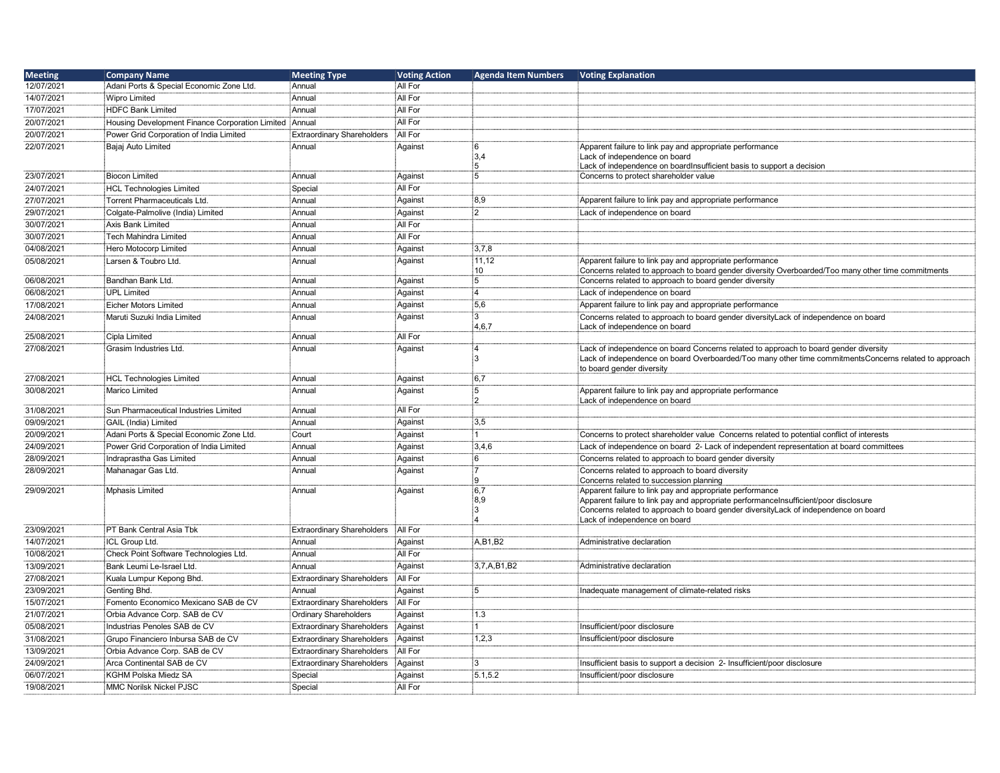| <b>Meeting</b> | <b>Company Name</b>                                    | <b>Meeting Type</b>               | <b>Voting Action</b> | <b>Agenda Item Numbers</b> | <b>Voting Explanation</b>                                                                                                                                    |
|----------------|--------------------------------------------------------|-----------------------------------|----------------------|----------------------------|--------------------------------------------------------------------------------------------------------------------------------------------------------------|
| 12/07/2021     | Adani Ports & Special Economic Zone Ltd.               | ∲Annual                           | All For              |                            |                                                                                                                                                              |
| 14/07/2021     | <b>Wipro Limited</b>                                   | Annual                            | All For              |                            |                                                                                                                                                              |
| 17/07/2021     | <b>HDFC Bank Limited</b>                               | Annual                            | All For              |                            |                                                                                                                                                              |
| 20/07/2021     | Housing Development Finance Corporation Limited Annual |                                   | All For              |                            |                                                                                                                                                              |
| 20/07/2021     | Power Grid Corporation of India Limited                | <b>Extraordinary Shareholders</b> | All For              |                            |                                                                                                                                                              |
| 22/07/2021     | Bajaj Auto Limited                                     | Annual                            | Against              | 6                          | Apparent failure to link pay and appropriate performance                                                                                                     |
|                |                                                        |                                   |                      | 3,4                        | Lack of independence on board                                                                                                                                |
|                |                                                        |                                   |                      | 5<br>5                     | Lack of independence on boardInsufficient basis to support a decision                                                                                        |
| 23/07/2021     | <b>Biocon Limited</b>                                  | Annual                            | Against              |                            | Concerns to protect shareholder value                                                                                                                        |
| 24/07/2021     | <b>HCL Technologies Limited</b>                        | Special                           | All For              |                            |                                                                                                                                                              |
| 27/07/2021     | Torrent Pharmaceuticals Ltd.                           | Annual                            | Against              | 8.9                        | Apparent failure to link pay and appropriate performance                                                                                                     |
| 29/07/2021     | Colgate-Palmolive (India) Limited                      | Annual                            | Against              | $\overline{2}$             | Lack of independence on board                                                                                                                                |
| 30/07/2021     | <b>Axis Bank Limited</b>                               | i Annual                          | All For              |                            |                                                                                                                                                              |
| 30/07/2021     | Tech Mahindra Limited                                  | i Annual                          | All For              |                            |                                                                                                                                                              |
| 04/08/2021     | Hero Motocorp Limited                                  | Annual                            | Against              | 3.7.8                      |                                                                                                                                                              |
| 05/08/2021     | Larsen & Toubro Ltd.                                   | Annual                            | Against              | 11,12                      | Apparent failure to link pay and appropriate performance                                                                                                     |
| 06/08/2021     | Bandhan Bank Ltd.                                      | ∶Annual                           | Against              | 10<br>5                    | Concerns related to approach to board gender diversity Overboarded/Too many other time commitments<br>Concerns related to approach to board gender diversity |
| 06/08/2021     | <b>UPL Limited</b>                                     | iAnnual                           | Against              | $\overline{4}$             | Lack of independence on board                                                                                                                                |
| 17/08/2021     | <b>Eicher Motors Limited</b>                           | Annual                            | Against              | 5,6                        | Apparent failure to link pay and appropriate performance                                                                                                     |
| 24/08/2021     | Maruti Suzuki India Limited                            | Annual                            | Against              | $\overline{3}$             | Concerns related to approach to board gender diversityLack of independence on board                                                                          |
|                |                                                        |                                   |                      | 4,6,7                      | Lack of independence on board                                                                                                                                |
| 25/08/2021     | Cipla Limited                                          | Annual                            | All For              |                            |                                                                                                                                                              |
| 27/08/2021     | Grasim Industries Ltd.                                 | Annual                            | Against              | $\overline{4}$             | Lack of independence on board Concerns related to approach to board gender diversity                                                                         |
|                |                                                        |                                   |                      | 3                          | Lack of independence on board Overboarded/Too many other time commitments Concerns related to approach                                                       |
|                |                                                        |                                   |                      |                            | to board gender diversity                                                                                                                                    |
| 27/08/2021     | <b>HCL Technologies Limited</b>                        | Annual                            | Against              | 6,7<br>5                   |                                                                                                                                                              |
| 30/08/2021     | <b>Marico Limited</b>                                  | Annual                            | Against              | $\overline{2}$             | Apparent failure to link pay and appropriate performance<br>Lack of independence on board                                                                    |
| 31/08/2021     | Sun Pharmaceutical Industries Limited                  | : Annual                          | All For              |                            |                                                                                                                                                              |
| 09/09/2021     | GAIL (India) Limited                                   | Annual                            | Against              | 3,5                        |                                                                                                                                                              |
| 20/09/2021     | Adani Ports & Special Economic Zone Ltd.               | Court                             | Against              | 1                          | Concerns to protect shareholder value Concerns related to potential conflict of interests                                                                    |
| 24/09/2021     | Power Grid Corporation of India Limited                | Annual                            | Against              | 3,4,6                      | Lack of independence on board 2- Lack of independent representation at board committees                                                                      |
| 28/09/2021     | Indraprastha Gas Limited                               | : Annual                          | Against              | 6                          | Concerns related to approach to board gender diversity                                                                                                       |
| 28/09/2021     | Mahanagar Gas Ltd.                                     | Annual                            | Against              | :7                         | Concerns related to approach to board diversity                                                                                                              |
|                |                                                        |                                   |                      | q                          | Concerns related to succession planning                                                                                                                      |
| 29/09/2021     | Mphasis Limited                                        | Annual                            | Against              | :6,7                       | Apparent failure to link pay and appropriate performance                                                                                                     |
|                |                                                        |                                   |                      | :8,9                       | Apparent failure to link pay and appropriate performanceInsufficient/poor disclosure                                                                         |
|                |                                                        |                                   |                      | :3<br>$\Delta$             | Concerns related to approach to board gender diversityLack of independence on board<br>Lack of independence on board                                         |
| 23/09/2021     | PT Bank Central Asia Tbk                               | <b>Extraordinary Shareholders</b> | All For              |                            |                                                                                                                                                              |
| 14/07/2021     | ICL Group Ltd.                                         | Annual                            | Against              | A, B1, B2                  | Administrative declaration                                                                                                                                   |
| 10/08/2021     | Check Point Software Technologies Ltd.                 | : Annual                          | All For              |                            |                                                                                                                                                              |
| 13/09/2021     | Bank Leumi Le-Israel Ltd.                              | Annual                            | Against              | 3,7,A,B1,B2                | Administrative declaration                                                                                                                                   |
| 27/08/2021     | Kuala Lumpur Kepong Bhd.                               | <b>Extraordinary Shareholders</b> | All For              |                            |                                                                                                                                                              |
| 23/09/2021     | Genting Bhd.                                           | : Annual                          | Against              | 5                          | Inadequate management of climate-related risks                                                                                                               |
| 15/07/2021     | Fomento Economico Mexicano SAB de CV                   | <b>Extraordinary Shareholders</b> | All For              |                            |                                                                                                                                                              |
| 21/07/2021     | Orbia Advance Corp. SAB de CV                          | <b>Ordinary Shareholders</b>      | Against              | 1.3                        |                                                                                                                                                              |
| 05/08/2021     | Industrias Penoles SAB de CV                           | <b>Extraordinary Shareholders</b> | Against              | 1                          | Insufficient/poor disclosure                                                                                                                                 |
| 31/08/2021     | Grupo Financiero Inbursa SAB de CV                     | <b>Extraordinary Shareholders</b> | Against              | 1,2,3                      | Insufficient/poor disclosure                                                                                                                                 |
| 13/09/2021     | Orbia Advance Corp. SAB de CV                          | <b>Extraordinary Shareholders</b> | All For              |                            |                                                                                                                                                              |
| 24/09/2021     | Arca Continental SAB de CV                             | <b>Extraordinary Shareholders</b> | Against              | 3                          | Insufficient basis to support a decision 2- Insufficient/poor disclosure                                                                                     |
| 06/07/2021     | <b>KGHM Polska Miedz SA</b>                            | Special                           | Against              | 5.1,5.2                    | Insufficient/poor disclosure                                                                                                                                 |
| 19/08/2021     | <b>MMC Norilsk Nickel PJSC</b>                         | Special                           | All For              |                            |                                                                                                                                                              |
|                |                                                        |                                   |                      |                            |                                                                                                                                                              |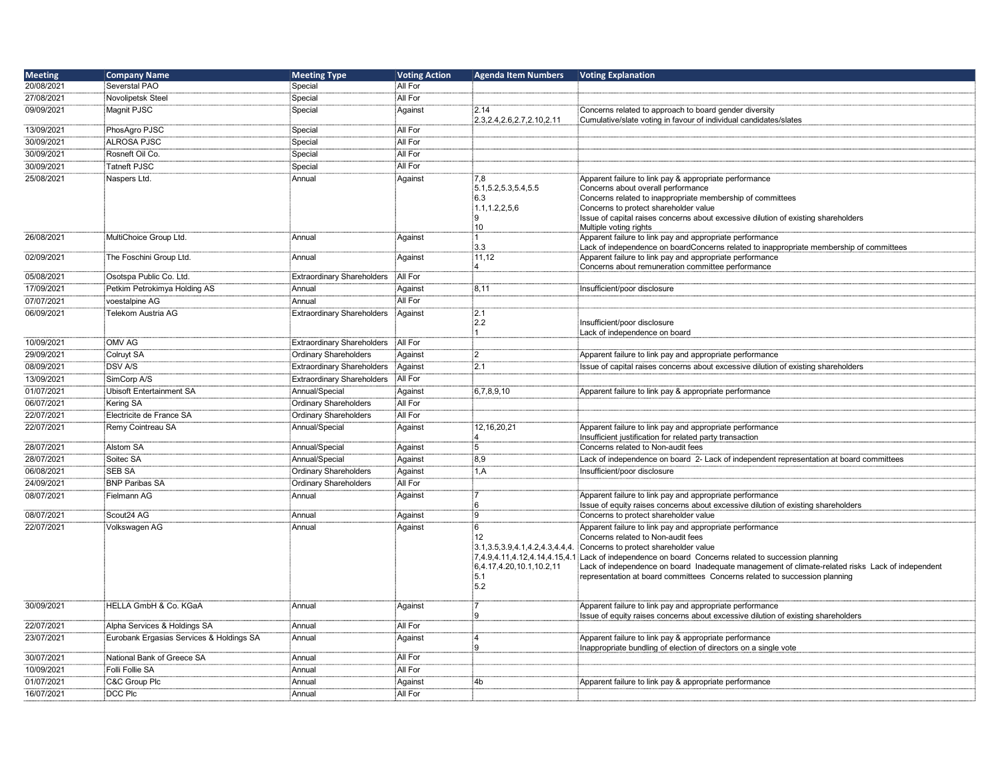| <b>Meeting</b> | <b>Company Name</b>                      | <b>Meeting Type</b>               | <b>Voting Action</b> | <b>Agenda Item Numbers</b>                                            | <b>Voting Explanation</b>                                                                                                  |
|----------------|------------------------------------------|-----------------------------------|----------------------|-----------------------------------------------------------------------|----------------------------------------------------------------------------------------------------------------------------|
| 20/08/2021     | Severstal PAO                            | Special                           | All For              |                                                                       |                                                                                                                            |
| 27/08/2021     | Novolipetsk Steel                        | Special                           | All For              |                                                                       |                                                                                                                            |
| 09/09/2021     | Magnit PJSC                              | Special                           | Against              | 2.14                                                                  | Concerns related to approach to board gender diversity                                                                     |
|                |                                          |                                   |                      | 2.3, 2.4, 2.6, 2.7, 2.10, 2.11                                        | Cumulative/slate voting in favour of individual candidates/slates                                                          |
| 13/09/2021     | PhosAgro PJSC                            | Special                           | All For              |                                                                       |                                                                                                                            |
| 30/09/2021     | <b>ALROSA PJSC</b>                       | Special                           | All For              |                                                                       |                                                                                                                            |
| 30/09/2021     | Rosneft Oil Co.                          | Special                           | All For              |                                                                       |                                                                                                                            |
| 30/09/2021     | <b>Tatneft PJSC</b>                      | Special                           | All For              |                                                                       |                                                                                                                            |
| 25/08/2021     | Naspers Ltd.                             | Annual                            | Against              | 7,8                                                                   | Apparent failure to link pay & appropriate performance                                                                     |
|                |                                          |                                   |                      | 5.1, 5.2, 5.3, 5.4, 5.5                                               | Concerns about overall performance                                                                                         |
|                |                                          |                                   |                      | 6.3                                                                   | Concerns related to inappropriate membership of committees                                                                 |
|                |                                          |                                   |                      | 1.1, 1.2, 2, 5, 6                                                     | Concerns to protect shareholder value                                                                                      |
|                |                                          |                                   |                      | :9                                                                    | Issue of capital raises concerns about excessive dilution of existing shareholders                                         |
| 26/08/2021     | MultiChoice Group Ltd.                   | Annual                            | Against              | 10<br>і1∶                                                             | Multiple voting rights<br>Apparent failure to link pay and appropriate performance                                         |
|                |                                          |                                   |                      | 3.3                                                                   | Lack of independence on boardConcerns related to inappropriate membership of committees                                    |
| 02/09/2021     | The Foschini Group Ltd.                  | Annual                            | Against              | 11,12                                                                 | Apparent failure to link pay and appropriate performance                                                                   |
|                |                                          |                                   |                      | $\boldsymbol{\Lambda}$                                                | Concerns about remuneration committee performance                                                                          |
| 05/08/2021     | Osotspa Public Co. Ltd.                  | Extraordinary Shareholders        | All For              |                                                                       |                                                                                                                            |
| 17/09/2021     | Petkim Petrokimya Holding AS             | Annual                            | Against              | 8,11                                                                  | Insufficient/poor disclosure                                                                                               |
| 07/07/2021     | voestalpine AG                           | Annual                            | All For              |                                                                       |                                                                                                                            |
| 06/09/2021     | Telekom Austria AG                       | <b>Extraordinary Shareholders</b> | Against              | 2.1                                                                   |                                                                                                                            |
|                |                                          |                                   |                      | 2.2                                                                   | Insufficient/poor disclosure                                                                                               |
|                |                                          |                                   |                      | : 1                                                                   | Lack of independence on board                                                                                              |
| 10/09/2021     | OMV AG                                   | <b>Extraordinary Shareholders</b> | All For              |                                                                       |                                                                                                                            |
| 29/09/2021     | Colruyt SA                               | <b>Ordinary Shareholders</b>      | Against              | :2                                                                    | Apparent failure to link pay and appropriate performance                                                                   |
| 08/09/2021     | <b>DSV A/S</b>                           | <b>Extraordinary Shareholders</b> | Against              | 2.1                                                                   | Issue of capital raises concerns about excessive dilution of existing shareholders                                         |
| 13/09/2021     | SimCorp A/S                              | Extraordinary Shareholders        | All For              |                                                                       |                                                                                                                            |
| 01/07/2021     | <b>Ubisoft Entertainment SA</b>          | Annual/Special                    | Against              | 6,7,8,9,10                                                            | Apparent failure to link pay & appropriate performance                                                                     |
| 06/07/2021     | Kering SA                                | <b>Ordinary Shareholders</b>      | All For              |                                                                       |                                                                                                                            |
| 22/07/2021     | Electricite de France SA                 | <b>Ordinary Shareholders</b>      | All For              |                                                                       |                                                                                                                            |
| 22/07/2021     | Remy Cointreau SA                        | Annual/Special                    | Against              | 12, 16, 20, 21                                                        | Apparent failure to link pay and appropriate performance                                                                   |
|                |                                          |                                   |                      | 4                                                                     | Insufficient justification for related party transaction                                                                   |
| 28/07/2021     | Alstom SA                                | Annual/Special                    | Against              | 5                                                                     | Concerns related to Non-audit fees                                                                                         |
| 28/07/2021     | Soitec SA                                | Annual/Special                    | Against              | 8,9                                                                   | Lack of independence on board 2- Lack of independent representation at board committees                                    |
| 06/08/2021     | <b>SEB SA</b>                            | <b>Ordinary Shareholders</b>      | Against              | 1, A                                                                  | Insufficient/poor disclosure                                                                                               |
| 24/09/2021     | <b>BNP Paribas SA</b>                    | <b>Ordinary Shareholders</b>      | All For              |                                                                       |                                                                                                                            |
| 08/07/2021     | Fielmann AG                              | Annual                            | Against              |                                                                       | Apparent failure to link pay and appropriate performance                                                                   |
|                |                                          |                                   |                      | :6                                                                    | Issue of equity raises concerns about excessive dilution of existing shareholders                                          |
| 08/07/2021     | Scout24 AG                               | :Annual                           | Against              | .<br>9                                                                | Concerns to protect shareholder value                                                                                      |
| 22/07/2021     | Volkswagen AG                            | Annual                            | Against              | :6                                                                    | Apparent failure to link pay and appropriate performance                                                                   |
|                |                                          |                                   |                      | 12                                                                    | Concerns related to Non-audit fees<br>Concerns to protect shareholder value                                                |
|                |                                          |                                   |                      | 3.1, 3.5, 3.9, 4.1, 4.2, 4.3, 4.4, 4<br>7,4.9,4.11,4.12,4.14,4.15,4.1 | Lack of independence on board Concerns related to succession planning                                                      |
|                |                                          |                                   |                      | 6,4.17,4.20,10.1,10.2,11                                              | Lack of independence on board Inadequate management of climate-related risks Lack of independent                           |
|                |                                          |                                   |                      | 5.1                                                                   | representation at board committees Concerns related to succession planning                                                 |
|                |                                          |                                   |                      | 5.2                                                                   |                                                                                                                            |
|                |                                          |                                   |                      |                                                                       |                                                                                                                            |
| 30/09/2021     | HELLA GmbH & Co. KGaA                    | Annual                            | Against              |                                                                       | Apparent failure to link pay and appropriate performance                                                                   |
| 22/07/2021     | Alpha Services & Holdings SA             | : Annual                          | All For              | :9                                                                    | Issue of equity raises concerns about excessive dilution of existing shareholders                                          |
|                |                                          |                                   |                      |                                                                       |                                                                                                                            |
| 23/07/2021     | Eurobank Ergasias Services & Holdings SA | Annual                            | Against              | :4<br>۱q                                                              | Apparent failure to link pay & appropriate performance<br>Inappropriate bundling of election of directors on a single vote |
| 30/07/2021     | National Bank of Greece SA               | : Annual                          | All For              |                                                                       |                                                                                                                            |
| 10/09/2021     | Folli Follie SA                          | Annual                            | All For              |                                                                       |                                                                                                                            |
| 01/07/2021     | C&C Group Plc                            | Annual                            | Against              | 4 <sub>b</sub>                                                        | Apparent failure to link pay & appropriate performance                                                                     |
| 16/07/2021     | DCC Plc                                  | :<br>Annual                       | All For              |                                                                       |                                                                                                                            |
|                |                                          |                                   |                      |                                                                       |                                                                                                                            |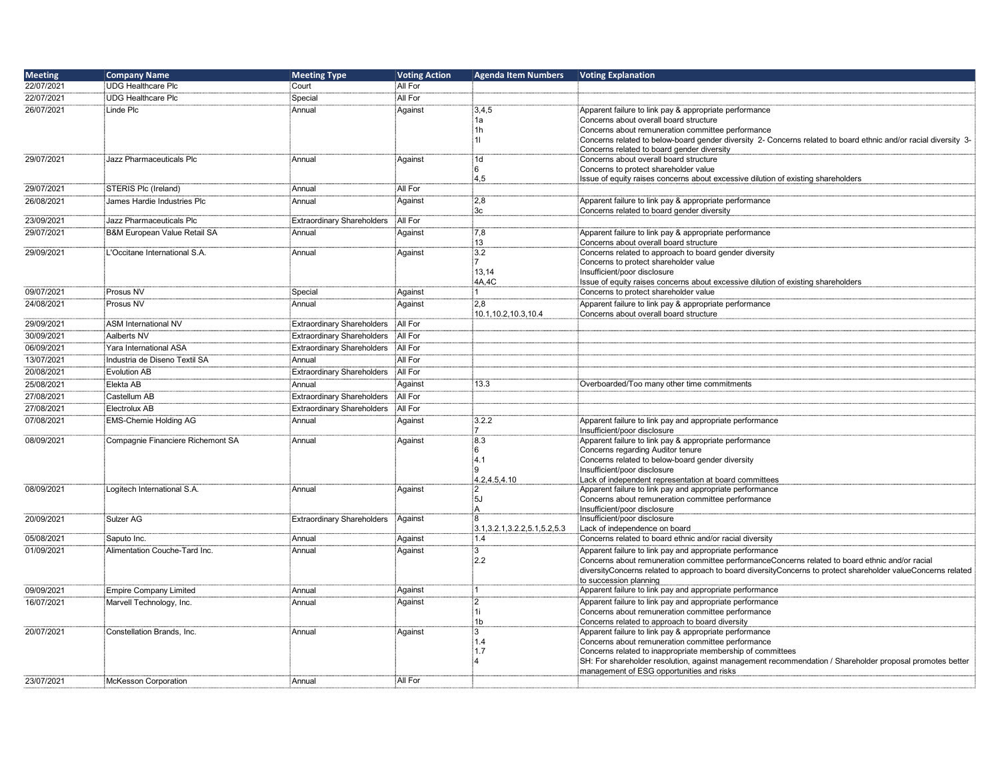| <b>Meeting</b> | <b>Company Name</b>               | <b>Meeting Type</b>               | <b>Voting Action</b> | <b>Agenda Item Numbers</b>       | <b>Voting Explanation</b>                                                                                       |
|----------------|-----------------------------------|-----------------------------------|----------------------|----------------------------------|-----------------------------------------------------------------------------------------------------------------|
| 22/07/2021     | UDG Healthcare Plc                | Court                             | All For              |                                  |                                                                                                                 |
| 22/07/2021     | UDG Healthcare Plc                | Special                           | All For              |                                  |                                                                                                                 |
| 26/07/2021     | Linde Plc                         | Annual                            | Against              | 3,4,5                            | Apparent failure to link pay & appropriate performance                                                          |
|                |                                   |                                   |                      | 1a                               | Concerns about overall board structure                                                                          |
|                |                                   |                                   |                      | 1h                               | Concerns about remuneration committee performance                                                               |
|                |                                   |                                   |                      | 11                               | Concerns related to below-board gender diversity 2- Concerns related to board ethnic and/or racial diversity 3- |
|                |                                   |                                   |                      |                                  | Concerns related to board gender diversity                                                                      |
| 29/07/2021     | Jazz Pharmaceuticals Plc          | Annual                            | Against              | 1d                               | Concerns about overall board structure                                                                          |
|                |                                   |                                   |                      | 6<br>4,5                         | Concerns to protect shareholder value                                                                           |
| 29/07/2021     | STERIS Plc (Ireland)              | Annual                            | All For              |                                  | Issue of equity raises concerns about excessive dilution of existing shareholders                               |
|                | James Hardie Industries Plc       |                                   |                      |                                  |                                                                                                                 |
| 26/08/2021     |                                   | Annual                            | Against              | 2,8<br>3c                        | Apparent failure to link pay & appropriate performance<br>Concerns related to board gender diversity            |
| 23/09/2021     | :Jazz Pharmaceuticals Plc         | <b>Extraordinary Shareholders</b> | All For              |                                  |                                                                                                                 |
| 29/07/2021     | B&M European Value Retail SA      | Annual                            | Against              | 7,8                              | Apparent failure to link pay & appropriate performance                                                          |
|                |                                   |                                   |                      | 13                               | Concerns about overall board structure                                                                          |
| 29/09/2021     | L'Occitane International S.A.     | Annual                            | Against              | 3.2                              | Concerns related to approach to board gender diversity                                                          |
|                |                                   |                                   |                      |                                  | Concerns to protect shareholder value                                                                           |
|                |                                   |                                   |                      | 13.14                            | Insufficient/poor disclosure                                                                                    |
|                |                                   |                                   |                      | 4A,4C                            | Issue of equity raises concerns about excessive dilution of existing shareholders                               |
| 09/07/2021     | Prosus NV                         | Special                           | Against              |                                  | Concerns to protect shareholder value                                                                           |
| 24/08/2021     | Prosus NV                         | Annual                            | Against              | 2,8                              | Apparent failure to link pay & appropriate performance                                                          |
|                |                                   |                                   |                      | 10.1, 10.2, 10.3, 10.4           | Concerns about overall board structure                                                                          |
| 29/09/2021     | ASM International NV              | <b>Extraordinary Shareholders</b> | All For              |                                  |                                                                                                                 |
| 30/09/2021     | Aalberts NV                       | <b>Extraordinary Shareholders</b> | All For              |                                  |                                                                                                                 |
| 06/09/2021     | Yara International ASA            | <b>Extraordinary Shareholders</b> | All For              |                                  |                                                                                                                 |
| 13/07/2021     | Industria de Diseno Textil SA     | Annual                            | All For              |                                  |                                                                                                                 |
| 20/08/2021     | Evolution AB                      | <b>Extraordinary Shareholders</b> | All For              |                                  |                                                                                                                 |
| 25/08/2021     | Elekta AB                         | Annual                            | Against              | 13.3                             | Overboarded/Too many other time commitments                                                                     |
| 27/08/2021     | Castellum AB                      | <b>Extraordinary Shareholders</b> | All For              |                                  |                                                                                                                 |
| 27/08/2021     | Electrolux AB                     | <b>Extraordinary Shareholders</b> | All For              |                                  |                                                                                                                 |
| 07/08/2021     |                                   |                                   |                      | 3.2.2                            |                                                                                                                 |
|                | EMS-Chemie Holding AG             | Annual                            | Against              |                                  | Apparent failure to link pay and appropriate performance<br>Insufficient/poor disclosure                        |
| 08/09/2021     | Compagnie Financiere Richemont SA | Annual                            | Against              | 8.3                              | Apparent failure to link pay & appropriate performance                                                          |
|                |                                   |                                   |                      | 6                                | Concerns regarding Auditor tenure                                                                               |
|                |                                   |                                   |                      | 4.1                              | Concerns related to below-board gender diversity                                                                |
|                |                                   |                                   |                      | 9                                | Insufficient/poor disclosure                                                                                    |
|                |                                   |                                   |                      | 4.2,4.5,4.10                     | Lack of independent representation at board committees                                                          |
| 08/09/2021     | Logitech International S.A.       | Annual                            | Against              | $\mathcal{P}$                    | Apparent failure to link pay and appropriate performance                                                        |
|                |                                   |                                   |                      | 5J                               | Concerns about remuneration committee performance                                                               |
|                |                                   |                                   |                      | $\overline{A}$<br>$\mathbf{g}$   | Insufficient/poor disclosure                                                                                    |
| 20/09/2021     | Sulzer AG                         | <b>Extraordinary Shareholders</b> | Against              | 3.1, 3.2.1, 3.2.2, 5.1, 5.2, 5.3 | Insufficient/poor disclosure<br>Lack of independence on board                                                   |
| 05/08/2021     | Saputo Inc.                       | Annual                            | Against              | 1.4                              | Concerns related to board ethnic and/or racial diversity                                                        |
| 01/09/2021     | Alimentation Couche-Tard Inc.     | Annual                            | Against              | $\overline{3}$                   | Apparent failure to link pay and appropriate performance                                                        |
|                |                                   |                                   |                      | 2.2                              | Concerns about remuneration committee performanceConcerns related to board ethnic and/or racial                 |
|                |                                   |                                   |                      |                                  | diversityConcerns related to approach to board diversityConcerns to protect shareholder valueConcerns related   |
|                |                                   |                                   |                      |                                  | to succession planning                                                                                          |
| 09/09/2021     | Empire Company Limited            | Annual                            | Against              | ۰1                               | Apparent failure to link pay and appropriate performance                                                        |
| 16/07/2021     | Marvell Technology, Inc.          | Annual                            | Against              | $\overline{2}$                   | Apparent failure to link pay and appropriate performance                                                        |
|                |                                   |                                   |                      | 1i                               | Concerns about remuneration committee performance                                                               |
|                |                                   |                                   |                      | 1 <sub>b</sub>                   | Concerns related to approach to board diversity                                                                 |
| 20/07/2021     | Constellation Brands, Inc.        | Annual                            | Against              | 3                                | Apparent failure to link pay & appropriate performance                                                          |
|                |                                   |                                   |                      | 1.4                              | Concerns about remuneration committee performance                                                               |
|                |                                   |                                   |                      | 1.7                              | Concerns related to inappropriate membership of committees                                                      |
|                |                                   |                                   |                      |                                  | SH: For shareholder resolution, against management recommendation / Shareholder proposal promotes better        |
| 23/07/2021     | McKesson Corporation              | Annual                            | All For              |                                  | management of ESG opportunities and risks                                                                       |
|                |                                   |                                   |                      |                                  |                                                                                                                 |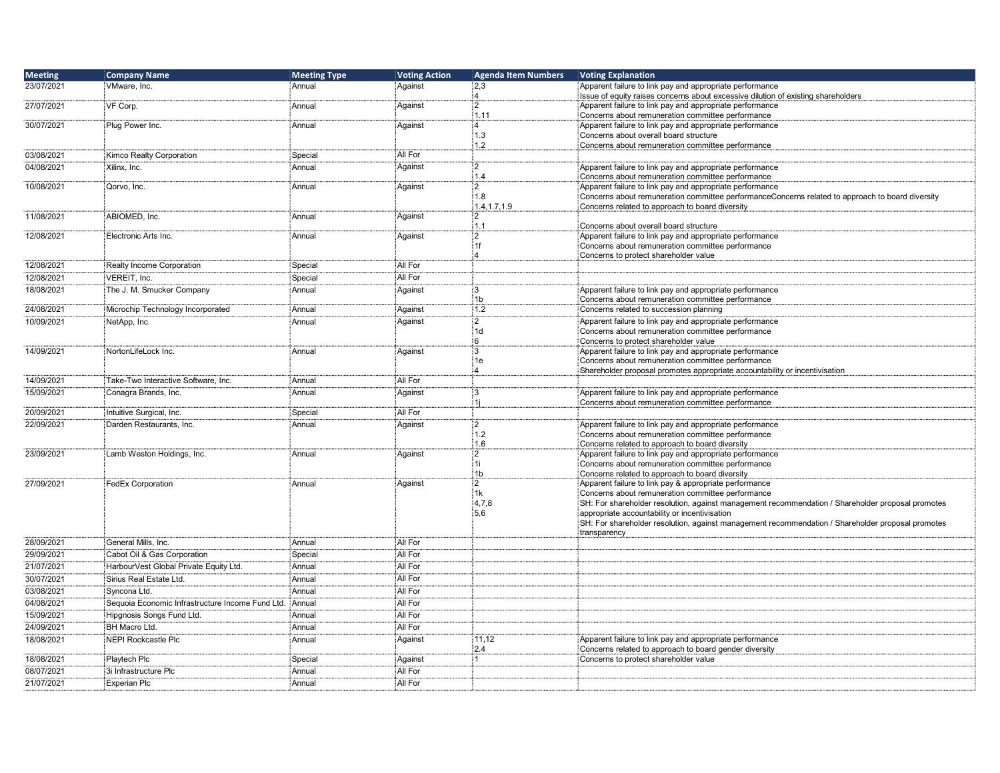| <b>Meeting</b> | <b>Company Name</b>                              | <b>Meeting Type</b> | <b>Voting Action</b> | <b>Agenda Item Numbers</b> | <b>Voting Explanation</b>                                                                                         |
|----------------|--------------------------------------------------|---------------------|----------------------|----------------------------|-------------------------------------------------------------------------------------------------------------------|
| 23/07/2021     | VMware, Inc.                                     | Annual              | Against              | 2,3                        | Apparent failure to link pay and appropriate performance                                                          |
|                |                                                  |                     |                      | :4<br>:2                   | Issue of equity raises concerns about excessive dilution of existing shareholders                                 |
| 27/07/2021     | VF Corp.                                         | Annual              | Against              | 1.11                       | Apparent failure to link pay and appropriate performance<br>Concerns about remuneration committee performance     |
| 30/07/2021     | Plug Power Inc.                                  | Annual              | Against              | :4                         | Apparent failure to link pay and appropriate performance                                                          |
|                |                                                  |                     |                      | 1.3                        | Concerns about overall board structure                                                                            |
|                |                                                  |                     |                      | 1.2                        | Concerns about remuneration committee performance                                                                 |
| 03/08/2021     | Kimco Realty Corporation                         | Special             | All For              |                            |                                                                                                                   |
| 04/08/2021     | Xilinx, Inc.                                     | Annual              | Against              | $\overline{2}$<br>14       | Apparent failure to link pay and appropriate performance                                                          |
| 10/08/2021     | Qorvo, Inc.                                      | Annual              | Against              | :2                         | Concerns about remuneration committee performance<br>Apparent failure to link pay and appropriate performance     |
|                |                                                  |                     |                      | :1.8                       | Concerns about remuneration committee performanceConcerns related to approach to board diversity                  |
|                |                                                  |                     |                      | 1.4, 1.7, 1.9              | Concerns related to approach to board diversity                                                                   |
| 11/08/2021     | ABIOMED, Inc.                                    | Annual              | Against              | :2                         |                                                                                                                   |
| 12/08/2021     | Electronic Arts Inc.                             |                     |                      | 1.1<br>:2                  | Concerns about overall board structure<br>Apparent failure to link pay and appropriate performance                |
|                |                                                  | Annual              | Against              | ‡1f                        | Concerns about remuneration committee performance                                                                 |
|                |                                                  |                     |                      | ΪΔ                         | Concerns to protect shareholder value                                                                             |
| 12/08/2021     | Realty Income Corporation                        | Special             | All For              |                            |                                                                                                                   |
| 12/08/2021     | VEREIT, Inc.                                     | Special             | All For              |                            |                                                                                                                   |
| 18/08/2021     | The J. M. Smucker Company                        | Annual              | Against              | :3                         | Apparent failure to link pay and appropriate performance                                                          |
|                |                                                  |                     |                      | 1 <sub>b</sub>             | Concerns about remuneration committee performance                                                                 |
| 24/08/2021     | Microchip Technology Incorporated                | Annual              | Against              | 1.2                        | Concerns related to succession planning                                                                           |
| 10/09/2021     | NetApp, Inc.                                     | Annual              | Against              | :2<br>1d                   | Apparent failure to link pay and appropriate performance                                                          |
|                |                                                  |                     |                      | -6                         | Concerns about remuneration committee performance<br>Concerns to protect shareholder value                        |
| 14/09/2021     | NortonLifeLock Inc.                              | Annual              | Against              | İЗ                         | Apparent failure to link pay and appropriate performance                                                          |
|                |                                                  |                     |                      | 1е                         | Concerns about remuneration committee performance                                                                 |
|                |                                                  |                     |                      | :4                         | Shareholder proposal promotes appropriate accountability or incentivisation                                       |
| 14/09/2021     | Take-Two Interactive Software, Inc.              | Annual              | All For              |                            |                                                                                                                   |
| 15/09/2021     | Conagra Brands, Inc.                             | Annual              | Against              | iЗ                         | Apparent failure to link pay and appropriate performance                                                          |
| 20/09/2021     | Intuitive Surgical, Inc.                         | Special             | All For              | i 1i                       | Concerns about remuneration committee performance                                                                 |
| 22/09/2021     | Darden Restaurants, Inc.                         | Annual              | Against              | :2                         | Apparent failure to link pay and appropriate performance                                                          |
|                |                                                  |                     |                      | 1.2                        | Concerns about remuneration committee performance                                                                 |
|                |                                                  |                     |                      | 1.6                        | Concerns related to approach to board diversity                                                                   |
| 23/09/2021     | Lamb Weston Holdings, Inc.                       | Annual              | Against              | $^{12}$                    | Apparent failure to link pay and appropriate performance                                                          |
|                |                                                  |                     |                      | !≀i<br>∶1b                 | Concerns about remuneration committee performance<br>Concerns related to approach to board diversity              |
| 27/09/2021     | FedEx Corporation                                | Annual              | Against              | :2                         | Apparent failure to link pay & appropriate performance                                                            |
|                |                                                  |                     |                      | i1k                        | Concerns about remuneration committee performance                                                                 |
|                |                                                  |                     |                      | 4,7,8                      | SH: For shareholder resolution, against management recommendation / Shareholder proposal promotes                 |
|                |                                                  |                     |                      | 5.6                        | appropriate accountability or incentivisation                                                                     |
|                |                                                  |                     |                      |                            | SH: For shareholder resolution, against management recommendation / Shareholder proposal promotes<br>transparency |
| 28/09/2021     | General Mills, Inc.                              | Annual              | All For              |                            |                                                                                                                   |
| 29/09/2021     | Cabot Oil & Gas Corporation                      | Special             | All For              |                            |                                                                                                                   |
| 21/07/2021     | HarbourVest Global Private Equity Ltd.           | Annual              | All For              |                            |                                                                                                                   |
| 30/07/2021     | Sirius Real Estate Ltd.                          | Annual              | All For              |                            |                                                                                                                   |
| 03/08/2021     | Syncona Ltd.                                     | Annual              | All For              |                            |                                                                                                                   |
| 04/08/2021     | Sequoia Economic Infrastructure Income Fund Ltd. | Annual              | All For              |                            |                                                                                                                   |
| 15/09/2021     | Hipgnosis Songs Fund Ltd.                        | Annual              | All For              |                            |                                                                                                                   |
| 24/09/2021     | BH Macro Ltd.                                    | Annual              | All For              |                            |                                                                                                                   |
| 18/08/2021     | <b>NEPI Rockcastle Plc</b>                       | Annual              | Against              | 11.12                      | Apparent failure to link pay and appropriate performance                                                          |
|                |                                                  |                     |                      | 2.4                        | Concerns related to approach to board gender diversity                                                            |
| 18/08/2021     | Playtech Plc                                     | Special             | Against              | $\mathbf{1}$               | Concerns to protect shareholder value                                                                             |
| 08/07/2021     | 3i Infrastructure Plc                            | Annual              | All For              |                            |                                                                                                                   |
| 21/07/2021     | Experian Plc                                     | Annual              | All For              |                            |                                                                                                                   |
|                |                                                  |                     |                      |                            |                                                                                                                   |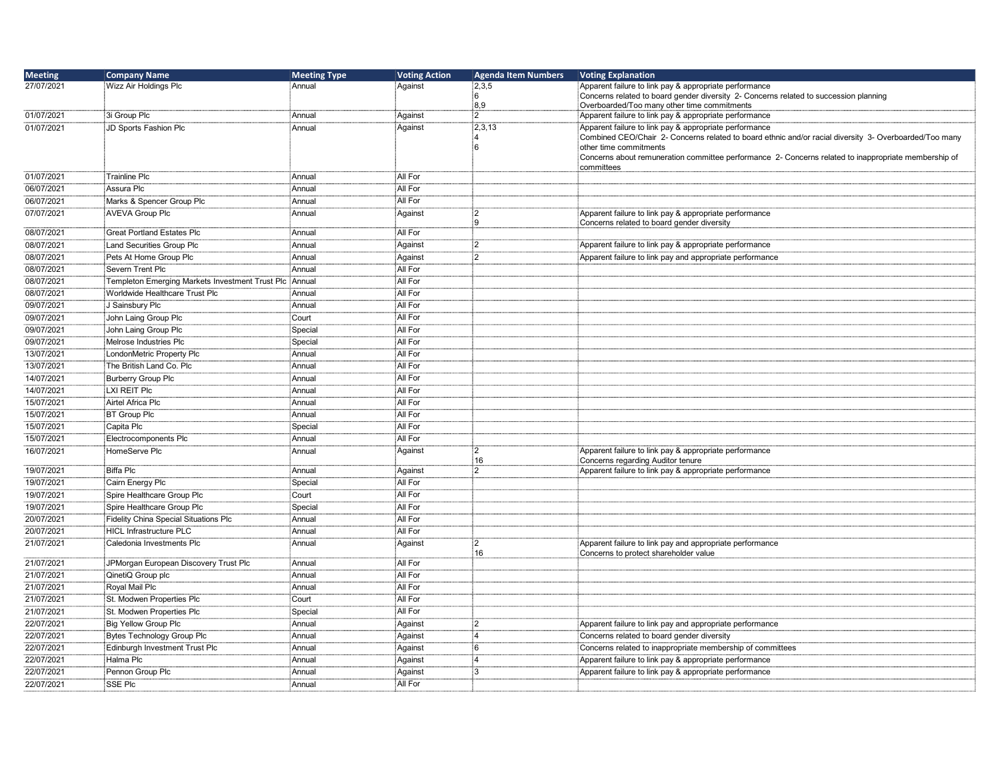| <b>Meeting</b>           | <b>Company Name</b>                                    | <b>Meeting Type</b> | <b>Voting Action</b> | <b>Agenda Item Numbers</b> | <b>Voting Explanation</b>                                                                              |
|--------------------------|--------------------------------------------------------|---------------------|----------------------|----------------------------|--------------------------------------------------------------------------------------------------------|
| 27/07/2021               | Wizz Air Holdings Plc                                  | Annual              | Against              | 2,3,5                      | Apparent failure to link pay & appropriate performance                                                 |
|                          |                                                        |                     |                      | ้ค                         | Concerns related to board gender diversity 2- Concerns related to succession planning                  |
| 01/07/2021               | 3i Group Plc                                           |                     | Against              | 8,9<br>$\overline{2}$      | Overboarded/Too many other time commitments<br>Apparent failure to link pay & appropriate performance  |
| 01/07/2021               | JD Sports Fashion Plc                                  | Annual<br>Annual    |                      | 2,3,13                     | Apparent failure to link pay & appropriate performance                                                 |
|                          |                                                        |                     | Against              |                            | Combined CEO/Chair 2- Concerns related to board ethnic and/or racial diversity 3- Overboarded/Too many |
|                          |                                                        |                     |                      | 6                          | other time commitments                                                                                 |
|                          |                                                        |                     |                      |                            | Concerns about remuneration committee performance 2- Concerns related to inappropriate membership of   |
|                          |                                                        |                     |                      |                            | committees                                                                                             |
| 01/07/2021               | <sup>∶</sup> Trainline Plc                             | Annual              | All For              |                            |                                                                                                        |
| 06/07/2021               | Assura Plc                                             | :<br>Annual         | All For              |                            |                                                                                                        |
| 06/07/2021               | Marks & Spencer Group Plc                              | Annual              | All For              |                            |                                                                                                        |
| 07/07/2021               | AVEVA Group Plc                                        | Annual              | Against              | $^{2}$<br>9                | Apparent failure to link pay & appropriate performance<br>Concerns related to board gender diversity   |
| 08/07/2021               | <b>Great Portland Estates Plc</b>                      | Annual              | All For              |                            |                                                                                                        |
| 08/07/2021               | Land Securities Group Plc                              | Annual              | Against              | :2                         | Apparent failure to link pay & appropriate performance                                                 |
| 08/07/2021               | Pets At Home Group Plc                                 | Annual              | Against              | $\overline{2}$             | Apparent failure to link pay and appropriate performance                                               |
| 08/07/2021               | Severn Trent Plc                                       | :<br>Annual         | All For              |                            |                                                                                                        |
| 08/07/2021               | Templeton Emerging Markets Investment Trust Plc Annual |                     | All For              |                            |                                                                                                        |
| 08/07/2021               | Worldwide Healthcare Trust Plc                         | Annual              | All For              |                            |                                                                                                        |
| 09/07/2021               | J Sainsbury Plc                                        | Annual              | All For              |                            |                                                                                                        |
| 09/07/2021               | John Laing Group Plc                                   | Court               | All For              |                            |                                                                                                        |
| 09/07/2021               | John Laing Group Plc                                   |                     | All For              |                            |                                                                                                        |
|                          |                                                        | Special             | All For              |                            |                                                                                                        |
| 09/07/2021               | Melrose Industries Plc                                 | Special             |                      |                            |                                                                                                        |
| 13/07/2021               | LondonMetric Property Plc                              | Annual              | All For              |                            |                                                                                                        |
| 13/07/2021               | The British Land Co. Plc                               | Annual              | All For              |                            |                                                                                                        |
| 14/07/2021               | Burberry Group Plc                                     | Annual              | All For              |                            |                                                                                                        |
| 14/07/2021               | LXI REIT Plc                                           | Annual              | All For              |                            |                                                                                                        |
| 15/07/2021               | Airtel Africa Plc                                      | Annual              | All For              |                            |                                                                                                        |
| 15/07/2021               | BT Group Plc                                           | Annual              | All For              |                            |                                                                                                        |
| 15/07/2021               | Capita Plc                                             | Special             | All For              |                            |                                                                                                        |
| 15/07/2021               | Electrocomponents Plc                                  | Annual              | All For              |                            |                                                                                                        |
| 16/07/2021               | HomeServe Plc <sup>:</sup>                             | Annual              | Against              | :2<br>16                   | Apparent failure to link pay & appropriate performance<br>Concerns regarding Auditor tenure            |
| 19/07/2021               | Biffa Plc                                              | Annual              | Against              | :2                         | Apparent failure to link pay & appropriate performance                                                 |
| 19/07/2021               | Cairn Energy Plc                                       | Special             | All For              |                            |                                                                                                        |
| 19/07/2021               | Spire Healthcare Group Plc                             | Court               | All For              |                            |                                                                                                        |
| 19/07/2021               | Spire Healthcare Group Plc                             | Special             | All For              |                            |                                                                                                        |
| 20/07/2021               | <b>Fidelity China Special Situations Plc</b>           | Annual              | All For              |                            |                                                                                                        |
| 20/07/2021               | HICL Infrastructure PLC                                | Annual              | All For              |                            |                                                                                                        |
| 21/07/2021               | Caledonia Investments Plc                              | Annual              | Against              | $\overline{2}$             | Apparent failure to link pay and appropriate performance                                               |
|                          |                                                        |                     | All For              | 16                         | Concerns to protect shareholder value                                                                  |
| 21/07/2021<br>21/07/2021 | JPMorgan European Discovery Trust Plc                  | Annual<br>Annual    | All For              |                            |                                                                                                        |
|                          | QinetiQ Group plc                                      |                     |                      |                            |                                                                                                        |
| 21/07/2021               | Royal Mail Plc                                         | :<br>Annual         | All For              |                            |                                                                                                        |
| 21/07/2021               | St. Modwen Properties Plc                              | Court               | All For              |                            |                                                                                                        |
| 21/07/2021               | St. Modwen Properties Plc                              | Special             | All For              |                            |                                                                                                        |
| 22/07/2021               | Big Yellow Group Plc                                   | Annual              | Against              | :2                         | Apparent failure to link pay and appropriate performance                                               |
| 22/07/2021               | Bytes Technology Group Plc                             | Annual              | Against              | :4                         | Concerns related to board gender diversity                                                             |
| 22/07/2021               | Edinburgh Investment Trust Plc                         | Annual              | Against              | 6                          | Concerns related to inappropriate membership of committees                                             |
| 22/07/2021               | Halma Plc                                              | Annual              | Against              | $\overline{4}$             | Apparent failure to link pay & appropriate performance                                                 |
| 22/07/2021               | Pennon Group Plc                                       | Annual              | Against              | 3                          | Apparent failure to link pay & appropriate performance                                                 |
| 22/07/2021               | SSE Plc                                                | Annual              | All For              |                            |                                                                                                        |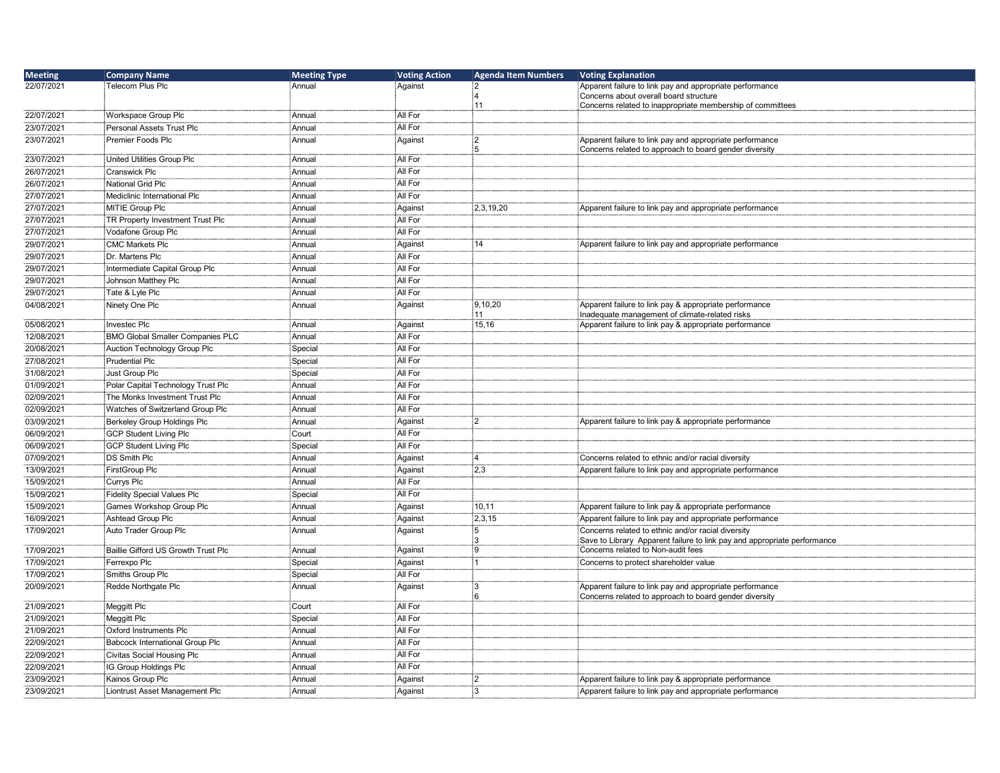| <b>Meeting</b> | <b>Company Name</b>                     | <b>Meeting Type</b> | <b>Voting Action</b> | <b>Agenda Item Numbers</b> | <b>Voting Explanation</b>                                                |
|----------------|-----------------------------------------|---------------------|----------------------|----------------------------|--------------------------------------------------------------------------|
| 22/07/2021     | Telecom Plus Plc                        | Annual              | Against              | $\overline{2}$             | Apparent failure to link pay and appropriate performance                 |
|                |                                         |                     |                      | 4                          | Concerns about overall board structure                                   |
| 22/07/2021     | Workspace Group Plc                     | Annual              | All For              | 11                         | Concerns related to inappropriate membership of committees               |
| 23/07/2021     | Personal Assets Trust Plc               | Annual              | All For              |                            |                                                                          |
|                | Premier Foods Plc                       | Annual              | Against              | $\overline{2}$             | Apparent failure to link pay and appropriate performance                 |
| 23/07/2021     |                                         |                     |                      | 5                          | Concerns related to approach to board gender diversity                   |
| 23/07/2021     | United Utilities Group Plc              | ∶Annual             | All For              |                            |                                                                          |
| 26/07/2021     | Cranswick Plc                           | ∶Annual             | All For              |                            |                                                                          |
| 26/07/2021     | National Grid Plc                       | Annual              | All For              |                            |                                                                          |
| 27/07/2021     | Mediclinic International Plc            | Annual              | All For              |                            |                                                                          |
| 27/07/2021     | MITIE Group Plc                         | Annual              | Against              | 2,3,19,20                  | Apparent failure to link pay and appropriate performance                 |
| 27/07/2021     | TR Property Investment Trust Plc        | Annual              | All For              |                            |                                                                          |
| 27/07/2021     | Vodafone Group Plc                      | Annual              | All For              |                            |                                                                          |
| 29/07/2021     | <b>CMC Markets Plc</b>                  | Annual              | Against              | 14                         | Apparent failure to link pay and appropriate performance                 |
| 29/07/2021     | Dr. Martens Plc                         | ∶Annual             | All For              |                            |                                                                          |
| 29/07/2021     | Intermediate Capital Group Plc          | .<br>∶Annual        | All For              |                            |                                                                          |
| 29/07/2021     | Johnson Matthey Plc                     | Annual              | All For              |                            |                                                                          |
| 29/07/2021     | Tate & Lyle Plc                         | Annual              | All For              |                            |                                                                          |
| 04/08/2021     | Ninety One Plc                          | Annual              | Against              | 9,10,20                    | Apparent failure to link pay & appropriate performance                   |
|                |                                         |                     |                      | 11                         | Inadequate management of climate-related risks                           |
| 05/08/2021     | <b>Investec Plc</b>                     | Annual              | Against              | 15,16                      | Apparent failure to link pay & appropriate performance                   |
| 12/08/2021     | <b>BMO Global Smaller Companies PLC</b> | :<br>Annual         | All For              |                            |                                                                          |
| 20/08/2021     | Auction Technology Group Plc            | Special             | All For              |                            |                                                                          |
| 27/08/2021     | <b>Prudential Plc</b>                   | Special             | All For              |                            |                                                                          |
| 31/08/2021     | Just Group Plc                          | Special             | All For              |                            |                                                                          |
| 01/09/2021     | Polar Capital Technology Trust Plc      | Annual              | All For              |                            |                                                                          |
| 02/09/2021     | The Monks Investment Trust Plc          | Annual              | All For              |                            |                                                                          |
| 02/09/2021     | Watches of Switzerland Group Plc        | Annual              | All For              |                            |                                                                          |
| 03/09/2021     | Berkeley Group Holdings Plc             | Annual              | Against              | $\overline{2}$             | Apparent failure to link pay & appropriate performance                   |
| 06/09/2021     | <b>GCP Student Living Plc</b>           | Court               | All For              |                            |                                                                          |
| 06/09/2021     | <b>GCP Student Living Plc</b>           | Special             | All For              |                            |                                                                          |
| 07/09/2021     | <b>DS Smith Plc</b>                     | .<br>∶Annual        | Against              | $\overline{4}$             | Concerns related to ethnic and/or racial diversity                       |
| 13/09/2021     | <b>FirstGroup Plc</b>                   | Annual              | Against              | 2,3                        | Apparent failure to link pay and appropriate performance                 |
| 15/09/2021     | Currys Plc                              | Annual              | All For              |                            |                                                                          |
| 15/09/2021     | <b>Fidelity Special Values Plc</b>      | Special             | All For              |                            |                                                                          |
| 15/09/2021     | Games Workshop Group Plc                | Annual              | Against              | 10,11                      | Apparent failure to link pay & appropriate performance                   |
| 16/09/2021     | Ashtead Group Plc                       | : Annual            | Against              | 2,3,15                     | Apparent failure to link pay and appropriate performance                 |
| 17/09/2021     | Auto Trader Group Plc                   | Annual              | Against              | 5                          | Concerns related to ethnic and/or racial diversity                       |
|                |                                         |                     |                      | 3                          | Save to Library Apparent failure to link pay and appropriate performance |
| 17/09/2021     | Baillie Gifford US Growth Trust Plc     | i Annual            | Against              | :9                         | Concerns related to Non-audit fees                                       |
| 17/09/2021     | Ferrexpo Plc                            | Special             | Against              | 1                          | Concerns to protect shareholder value                                    |
| 17/09/2021     | Smiths Group Plc                        | Special             | All For              |                            |                                                                          |
| 20/09/2021     | Redde Northgate Plc                     | Annual              | Against              | 3                          | Apparent failure to link pay and appropriate performance                 |
| 21/09/2021     | Meggitt Plc                             | Court               | All For              | 6                          | Concerns related to approach to board gender diversity                   |
| 21/09/2021     | Meggitt Plc                             | Special             | All For              |                            |                                                                          |
| 21/09/2021     | Oxford Instruments Plc                  | Annual              | All For              |                            |                                                                          |
| 22/09/2021     | Babcock International Group Plc         | Annual              | All For              |                            |                                                                          |
| 22/09/2021     | Civitas Social Housing Plc              | Annual              | All For              |                            |                                                                          |
| 22/09/2021     | IG Group Holdings Plc                   | Annual              | All For              |                            |                                                                          |
| 23/09/2021     | Kainos Group Plc                        | Annual              | Against              | $\overline{2}$             | Apparent failure to link pay & appropriate performance                   |
| 23/09/2021     | Liontrust Asset Management Plc          |                     | Against              | :3                         | Apparent failure to link pay and appropriate performance                 |
|                |                                         | Annual              |                      |                            |                                                                          |